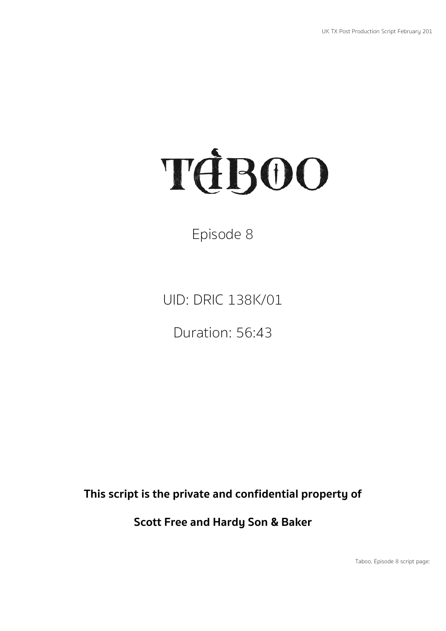# TEBOO

Episode 8

UID: DRIC 138K/01

Duration: 56:43

**This script is the private and confidential property of**

**Scott Free and Hardy Son & Baker**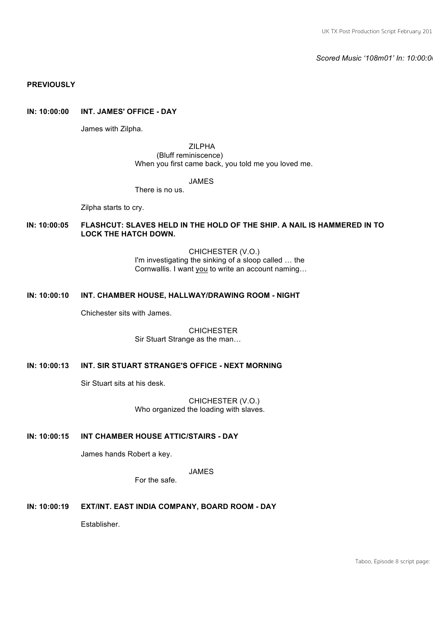*Scored Music '108m01' In: 10:00:00*

# **PREVIOUSLY**

# **IN: 10:00:00 INT. JAMES' OFFICE - DAY**

James with Zilpha.

ZILPHA (Bluff reminiscence) When you first came back, you told me you loved me.

#### JAMES

There is no us.

Zilpha starts to cry.

# **IN: 10:00:05 FLASHCUT: SLAVES HELD IN THE HOLD OF THE SHIP. A NAIL IS HAMMERED IN TO LOCK THE HATCH DOWN.**

CHICHESTER (V.O.) I'm investigating the sinking of a sloop called  $\dots$  the Cornwallis. I want you to write an account naming…

#### **IN: 10:00:10 INT. CHAMBER HOUSE, HALLWAY/DRAWING ROOM - NIGHT**

Chichester sits with James.

#### **CHICHESTER** Sir Stuart Strange as the man…

# **IN: 10:00:13 INT. SIR STUART STRANGE'S OFFICE - NEXT MORNING**

Sir Stuart sits at his desk.

CHICHESTER (V.O.) Who organized the loading with slaves.

# **IN: 10:00:15 INT CHAMBER HOUSE ATTIC/STAIRS - DAY**

James hands Robert a key.

JAMES

For the safe.

# **IN: 10:00:19 EXT/INT. EAST INDIA COMPANY, BOARD ROOM - DAY**

**Establisher**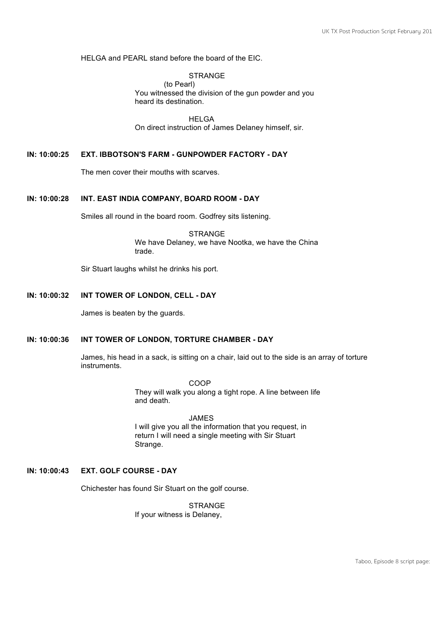HELGA and PEARL stand before the board of the EIC.

#### **STRANGE**

(to Pearl) You witnessed the division of the gun powder and you heard its destination.

HELGA On direct instruction of James Delaney himself, sir.

#### **IN: 10:00:25 EXT. IBBOTSON'S FARM - GUNPOWDER FACTORY - DAY**

The men cover their mouths with scarves.

#### **IN: 10:00:28 INT. EAST INDIA COMPANY, BOARD ROOM - DAY**

Smiles all round in the board room. Godfrey sits listening.

**STRANGE** We have Delaney, we have Nootka, we have the China trade.

Sir Stuart laughs whilst he drinks his port.

# **IN: 10:00:32 INT TOWER OF LONDON, CELL - DAY**

James is beaten by the guards.

# **IN: 10:00:36 INT TOWER OF LONDON, TORTURE CHAMBER - DAY**

James, his head in a sack, is sitting on a chair, laid out to the side is an array of torture instruments.

> COOP They will walk you along a tight rope. A line between life and death.

JAMES I will give you all the information that you request, in return I will need a single meeting with Sir Stuart Strange.

# **IN: 10:00:43 EXT. GOLF COURSE - DAY**

Chichester has found Sir Stuart on the golf course.

**STRANGE** If your witness is Delaney,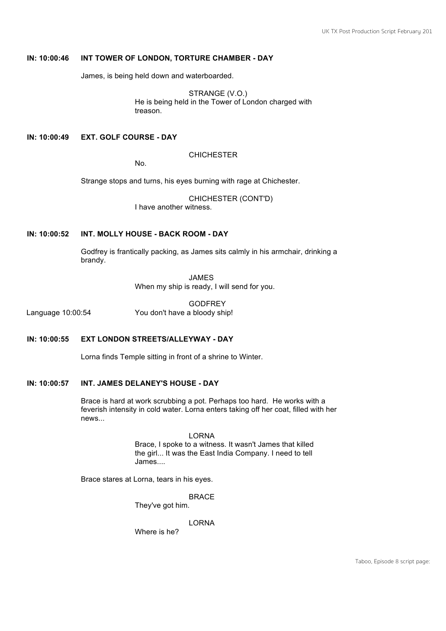# **IN: 10:00:46 INT TOWER OF LONDON, TORTURE CHAMBER - DAY**

James, is being held down and waterboarded.

STRANGE (V.O.) He is being held in the Tower of London charged with treason.

# **IN: 10:00:49 EXT. GOLF COURSE - DAY**

## **CHICHESTER**

No.

Strange stops and turns, his eyes burning with rage at Chichester.

CHICHESTER (CONT'D) I have another witness.

#### **IN: 10:00:52 INT. MOLLY HOUSE - BACK ROOM - DAY**

Godfrey is frantically packing, as James sits calmly in his armchair, drinking a brandy.

> JAMES When my ship is ready, I will send for you.

**GODFREY** Language 10:00:54 You don't have a bloody ship!

#### **IN: 10:00:55 EXT LONDON STREETS/ALLEYWAY - DAY**

Lorna finds Temple sitting in front of a shrine to Winter.

#### **IN: 10:00:57 INT. JAMES DELANEY'S HOUSE - DAY**

Brace is hard at work scrubbing a pot. Perhaps too hard. He works with a feverish intensity in cold water. Lorna enters taking off her coat, filled with her news...

> LORNA Brace, I spoke to a witness. It wasn't James that killed the girl... It was the East India Company. I need to tell James....

Brace stares at Lorna, tears in his eyes.

BRACE

They've got him.

LORNA

Where is he?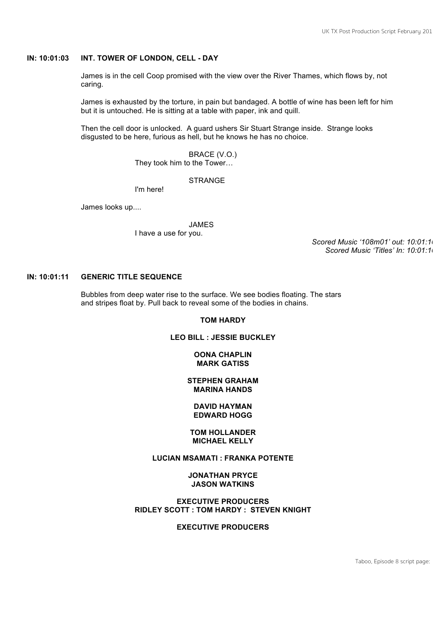# **IN: 10:01:03 INT. TOWER OF LONDON, CELL - DAY**

James is in the cell Coop promised with the view over the River Thames, which flows by, not caring.

James is exhausted by the torture, in pain but bandaged. A bottle of wine has been left for him but it is untouched. He is sitting at a table with paper, ink and quill.

Then the cell door is unlocked. A guard ushers Sir Stuart Strange inside. Strange looks disgusted to be here, furious as hell, but he knows he has no choice.

BRACE (V.O.)

They took him to the Tower…

# **STRANGE**

I'm here!

James looks up....

JAMES I have a use for you.

*Scored Music '108m01' out: 10:01:10 Scored Music 'Titles' In: 10:01:10*

# **IN: 10:01:11 GENERIC TITLE SEQUENCE**

Bubbles from deep water rise to the surface. We see bodies floating. The stars and stripes float by. Pull back to reveal some of the bodies in chains.

#### **TOM HARDY**

#### **LEO BILL : JESSIE BUCKLEY**

#### **OONA CHAPLIN MARK GATISS**

#### **STEPHEN GRAHAM MARINA HANDS**

#### **DAVID HAYMAN EDWARD HOGG**

#### **TOM HOLLANDER MICHAEL KELLY**

# **LUCIAN MSAMATI : FRANKA POTENTE**

#### **JONATHAN PRYCE JASON WATKINS**

# **EXECUTIVE PRODUCERS RIDLEY SCOTT : TOM HARDY : STEVEN KNIGHT**

#### **EXECUTIVE PRODUCERS**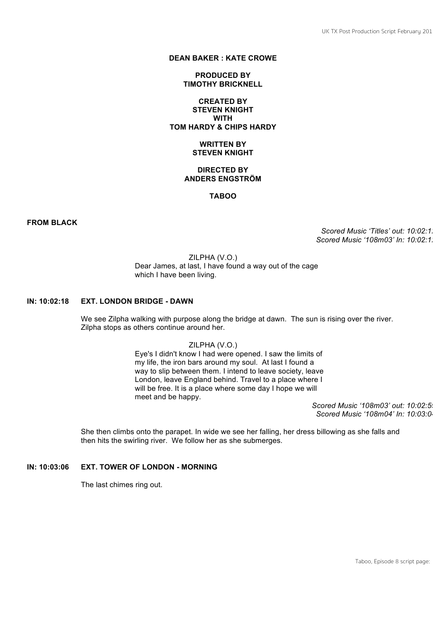### **DEAN BAKER : KATE CROWE**

#### **PRODUCED BY TIMOTHY BRICKNELL**

# **CREATED BY STEVEN KNIGHT WITH TOM HARDY & CHIPS HARDY**

#### **WRITTEN BY STEVEN KNIGHT**

# **DIRECTED BY ANDERS ENGSTRÖM**

# **TABOO**

**FROM BLACK**

*Scored Music 'Titles' out: 10:02:12 Scored Music '108m03' In: 10:02:12*

ZILPHA (V.O.) Dear James, at last, I have found a way out of the cage which I have been living.

# **IN: 10:02:18 EXT. LONDON BRIDGE - DAWN**

We see Zilpha walking with purpose along the bridge at dawn. The sun is rising over the river. Zilpha stops as others continue around her.

ZILPHA (V.O.)

Eye's I didn't know I had were opened. I saw the limits of my life, the iron bars around my soul. At last I found a way to slip between them. I intend to leave society, leave London, leave England behind. Travel to a place where I will be free. It is a place where some day I hope we will meet and be happy.

Scored Music '108m03' out: 10:02:59 *Scored Music '108m04' In: 10:03:04*

She then climbs onto the parapet. In wide we see her falling, her dress billowing as she falls and then hits the swirling river. We follow her as she submerges.

# **IN: 10:03:06 EXT. TOWER OF LONDON - MORNING**

The last chimes ring out.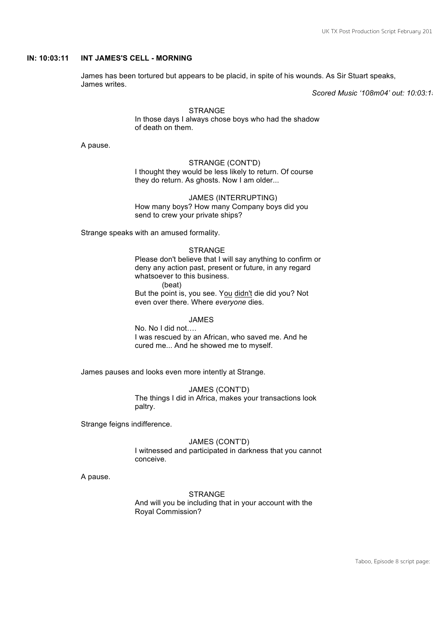### **IN: 10:03:11 INT JAMES'S CELL - MORNING**

James has been tortured but appears to be placid, in spite of his wounds. As Sir Stuart speaks, James writes.

*Scored Music '108m04' out: 10:03:15*

#### STRANGE In those days I always chose boys who had the shadow of death on them.

A pause.

#### STRANGE (CONT'D) I thought they would be less likely to return. Of course they do return. As ghosts. Now I am older...

JAMES (INTERRUPTING) How many boys? How many Company boys did you send to crew your private ships?

Strange speaks with an amused formality.

#### **STRANGE**

Please don't believe that I will say anything to confirm or deny any action past, present or future, in any regard whatsoever to this business. (beat)

But the point is, you see. You didn't die did you? Not even over there. Where *everyone* dies.

#### JAMES

No. No I did not…. I was rescued by an African, who saved me. And he cured me... And he showed me to myself.

James pauses and looks even more intently at Strange.

JAMES (CONT'D) The things I did in Africa, makes your transactions look paltry.

Strange feigns indifference.

#### JAMES (CONT'D)

I witnessed and participated in darkness that you cannot conceive.

A pause.

#### **STRANGE**

And will you be including that in your account with the Royal Commission?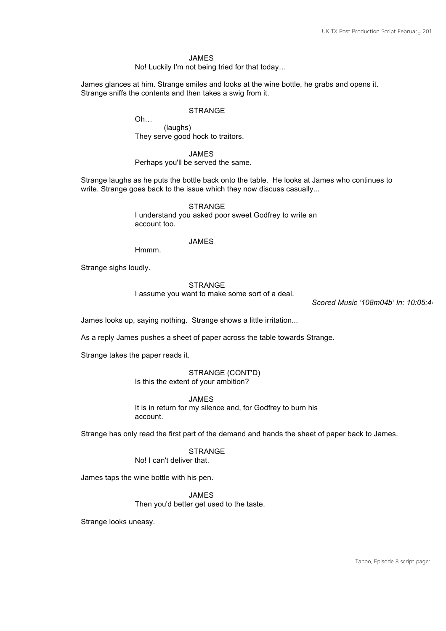#### JAMES

No! Luckily I'm not being tried for that today…

James glances at him. Strange smiles and looks at the wine bottle, he grabs and opens it. Strange sniffs the contents and then takes a swig from it.

#### STRANGE

Oh… (laughs) They serve good hock to traitors.

JAMES

Perhaps you'll be served the same.

Strange laughs as he puts the bottle back onto the table. He looks at James who continues to write. Strange goes back to the issue which they now discuss casually...

> **STRANGE** I understand you asked poor sweet Godfrey to write an account too.

#### JAMES

Hmmm.

Strange sighs loudly.

#### **STRANGE**

I assume you want to make some sort of a deal.

*Scored Music '108m04b' In: 10:05:44*

James looks up, saying nothing. Strange shows a little irritation...

As a reply James pushes a sheet of paper across the table towards Strange.

Strange takes the paper reads it.

STRANGE (CONT'D) Is this the extent of your ambition?

JAMES It is in return for my silence and, for Godfrey to burn his account.

Strange has only read the first part of the demand and hands the sheet of paper back to James.

**STRANGE** 

No! I can't deliver that.

James taps the wine bottle with his pen.

JAMES

Then you'd better get used to the taste.

Strange looks uneasy.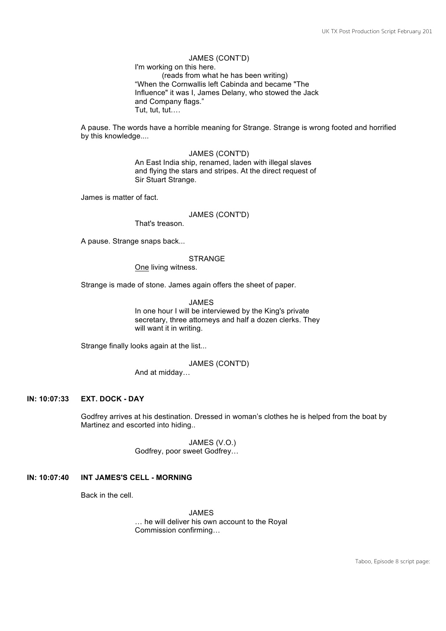JAMES (CONT'D) I'm working on this here. (reads from what he has been writing) "When the Cornwallis left Cabinda and became "The Influence" it was I, James Delany, who stowed the Jack and Company flags." Tut, tut, tut….

A pause. The words have a horrible meaning for Strange. Strange is wrong footed and horrified by this knowledge....

> JAMES (CONT'D) An East India ship, renamed, laden with illegal slaves and flying the stars and stripes. At the direct request of Sir Stuart Strange.

James is matter of fact.

#### JAMES (CONT'D)

That's treason.

A pause. Strange snaps back...

#### **STRANGE**

One living witness.

Strange is made of stone. James again offers the sheet of paper.

JAMES In one hour I will be interviewed by the King's private secretary, three attorneys and half a dozen clerks. They will want it in writing.

Strange finally looks again at the list...

JAMES (CONT'D)

And at midday…

# **IN: 10:07:33 EXT. DOCK - DAY**

Godfrey arrives at his destination. Dressed in woman's clothes he is helped from the boat by Martinez and escorted into hiding..

> JAMES (V.O.) Godfrey, poor sweet Godfrey…

#### **IN: 10:07:40 INT JAMES'S CELL - MORNING**

Back in the cell.

JAMES … he will deliver his own account to the Royal Commission confirming…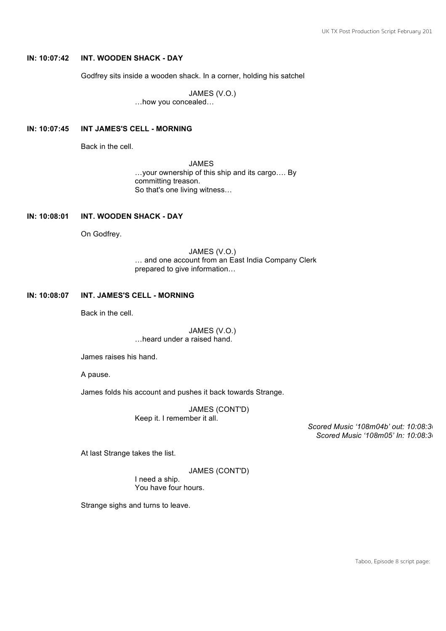# **IN: 10:07:42 INT. WOODEN SHACK - DAY**

Godfrey sits inside a wooden shack. In a corner, holding his satchel

JAMES (V.O.) …how you concealed…

#### **IN: 10:07:45 INT JAMES'S CELL - MORNING**

Back in the cell.

JAMES …your ownership of this ship and its cargo…. By committing treason. So that's one living witness…

#### **IN: 10:08:01 INT. WOODEN SHACK - DAY**

On Godfrey.

JAMES (V.O.) … and one account from an East India Company Clerk prepared to give information…

#### **IN: 10:08:07 INT. JAMES'S CELL - MORNING**

Back in the cell.

JAMES (V.O.) …heard under a raised hand.

James raises his hand.

A pause.

James folds his account and pushes it back towards Strange.

JAMES (CONT'D) Keep it. I remember it all.

*Scored Music '108m04b' out: 10:08:36 Scored Music '108m05' In: 10:08:36*

At last Strange takes the list.

JAMES (CONT'D)

I need a ship. You have four hours.

Strange sighs and turns to leave.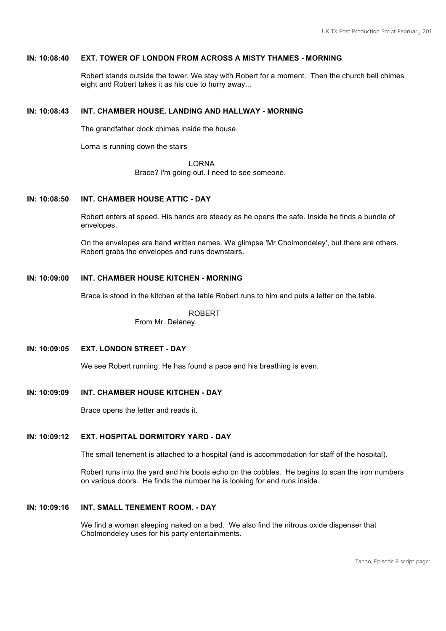# **IN: 10:08:40 EXT. TOWER OF LONDON FROM ACROSS A MISTY THAMES - MORNING**

Robert stands outside the tower. We stay with Robert for a moment. Then the church bell chimes eight and Robert takes it as his cue to hurry away...

# **IN: 10:08:43 INT. CHAMBER HOUSE. LANDING AND HALLWAY - MORNING**

The grandfather clock chimes inside the house.

Lorna is running down the stairs

LORNA

Brace? I'm going out. I need to see someone.

# **IN: 10:08:50 INT. CHAMBER HOUSE ATTIC - DAY**

Robert enters at speed. His hands are steady as he opens the safe. Inside he finds a bundle of envelopes.

On the envelopes are hand written names. We glimpse 'Mr Cholmondeley', but there are others. Robert grabs the envelopes and runs downstairs.

#### **IN: 10:09:00 INT. CHAMBER HOUSE KITCHEN - MORNING**

Brace is stood in the kitchen at the table Robert runs to him and puts a letter on the table.

ROBERT

From Mr. Delaney.

# **IN: 10:09:05 EXT. LONDON STREET - DAY**

We see Robert running. He has found a pace and his breathing is even.

#### **IN: 10:09:09 INT. CHAMBER HOUSE KITCHEN - DAY**

Brace opens the letter and reads it.

# **IN: 10:09:12 EXT. HOSPITAL DORMITORY YARD - DAY**

The small tenement is attached to a hospital (and is accommodation for staff of the hospital).

Robert runs into the yard and his boots echo on the cobbles. He begins to scan the iron numbers on various doors. He finds the number he is looking for and runs inside.

# **IN: 10:09:16 INT. SMALL TENEMENT ROOM. - DAY**

We find a woman sleeping naked on a bed. We also find the nitrous oxide dispenser that Cholmondeley uses for his party entertainments.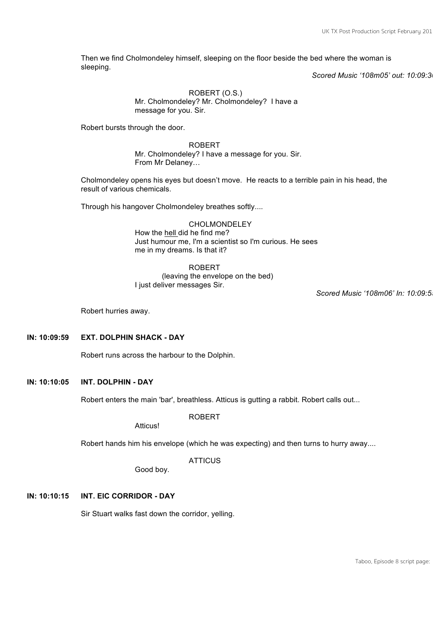Then we find Cholmondeley himself, sleeping on the floor beside the bed where the woman is sleeping.

*Scored Music '108m05' out: 10:09:30*

ROBERT (O.S.) Mr. Cholmondeley? Mr. Cholmondeley? I have a message for you. Sir.

Robert bursts through the door.

ROBERT Mr. Cholmondeley? I have a message for you. Sir. From Mr Delaney…

Cholmondeley opens his eyes but doesn't move. He reacts to a terrible pain in his head, the result of various chemicals.

Through his hangover Cholmondeley breathes softly....

CHOLMONDELEY How the hell did he find me? Just humour me, I'm a scientist so I'm curious. He sees me in my dreams. Is that it?

ROBERT (leaving the envelope on the bed) I just deliver messages Sir.

*Scored Music '108m06' In: 10:09:55* 

Robert hurries away.

# **IN: 10:09:59 EXT. DOLPHIN SHACK - DAY**

Robert runs across the harbour to the Dolphin.

# **IN: 10:10:05 INT. DOLPHIN - DAY**

Robert enters the main 'bar', breathless. Atticus is gutting a rabbit. Robert calls out...

ROBERT

**Atticus!** 

Robert hands him his envelope (which he was expecting) and then turns to hurry away....

**ATTICUS** 

Good boy.

#### **IN: 10:10:15 INT. EIC CORRIDOR - DAY**

Sir Stuart walks fast down the corridor, yelling.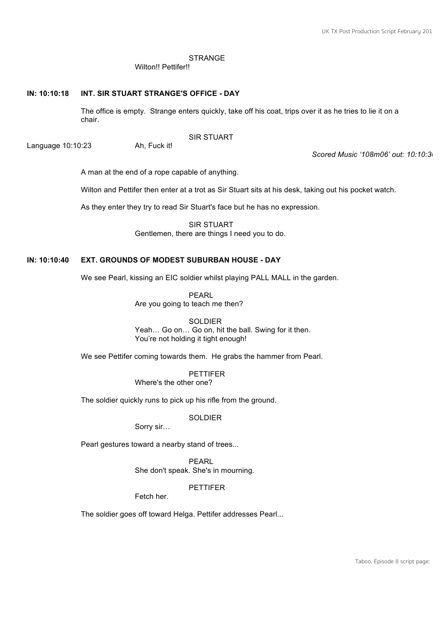# **STRANGE**

Wilton!! Pettifer!!

#### **IN: 10:10:18 INT. SIR STUART STRANGE'S OFFICE - DAY**

The office is empty. Strange enters quickly, take off his coat, trips over it as he tries to lie it on a chair.

SIR STUART

Language 10:10:23 Ah, Fuck it!

*Scored Music '108m06' out: 10:10:30*

A man at the end of a rope capable of anything.

Wilton and Pettifer then enter at a trot as Sir Stuart sits at his desk, taking out his pocket watch.

As they enter they try to read Sir Stuart's face but he has no expression.

SIR STUART Gentlemen, there are things I need you to do.

# **IN: 10:10:40 EXT. GROUNDS OF MODEST SUBURBAN HOUSE - DAY**

We see Pearl, kissing an EIC soldier whilst playing PALL MALL in the garden.

PEARL Are you going to teach me then?

**SOLDIER** Yeah... Go on... Go on, hit the ball. Swing for it then. You're not holding it tight enough!

We see Pettifer coming towards them. He grabs the hammer from Pearl.

PETTIFER Where's the other one?

The soldier quickly runs to pick up his rifle from the ground.

SOLDIER

Sorry sir…

Pearl gestures toward a nearby stand of trees...

PEARL She don't speak. She's in mourning.

**PETTIFER** 

Fetch her.

The soldier goes off toward Helga. Pettifer addresses Pearl...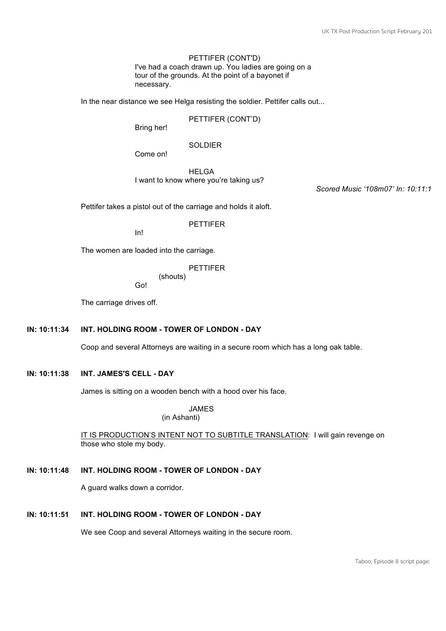PETTIFER (CONT'D) I've had a coach drawn up. You ladies are going on a tour of the grounds. At the point of a bayonet if necessary.

In the near distance we see Helga resisting the soldier. Pettifer calls out...

PETTIFER (CONT'D)

Bring her!

**SOLDIER** 

Come on!

HELGA I want to know where you're taking us?

Scored Music '108m07' In: 10:11:1

Pettifer takes a pistol out of the carriage and holds it aloft.

The women are loaded into the carriage.

In!

PETTIFER

PETTIFER

(shouts) Go!

The carriage drives off.

#### **IN: 10:11:34 INT. HOLDING ROOM - TOWER OF LONDON - DAY**

Coop and several Attorneys are waiting in a secure room which has a long oak table.

# **IN: 10:11:38 INT. JAMES'S CELL - DAY**

James is sitting on a wooden bench with a hood over his face.

JAMES

(in Ashanti)

IT IS PRODUCTION'S INTENT NOT TO SUBTITLE TRANSLATION: I will gain revenge on those who stole my body.

# **IN: 10:11:48 INT. HOLDING ROOM - TOWER OF LONDON - DAY**

A guard walks down a corridor.

# **IN: 10:11:51 INT. HOLDING ROOM - TOWER OF LONDON - DAY**

We see Coop and several Attorneys waiting in the secure room.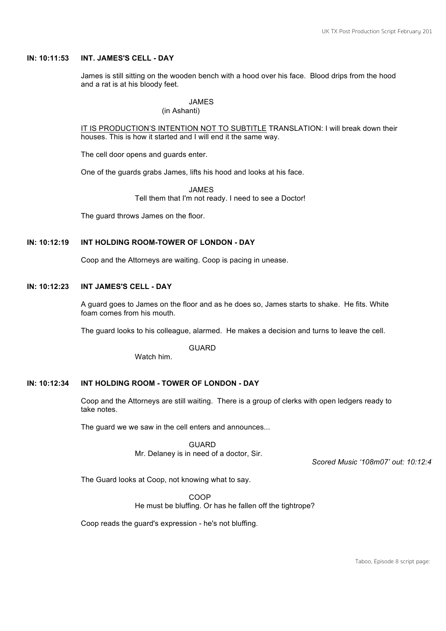#### **IN: 10:11:53 INT. JAMES'S CELL - DAY**

James is still sitting on the wooden bench with a hood over his face. Blood drips from the hood and a rat is at his bloody feet.

JAMES

(in Ashanti)

IT IS PRODUCTION'S INTENTION NOT TO SUBTITLE TRANSLATION: I will break down their houses. This is how it started and I will end it the same way.

The cell door opens and guards enter.

One of the guards grabs James, lifts his hood and looks at his face.

JAMES Tell them that I'm not ready. I need to see a Doctor!

The guard throws James on the floor.

# **IN: 10:12:19 INT HOLDING ROOM-TOWER OF LONDON - DAY**

Coop and the Attorneys are waiting. Coop is pacing in unease.

#### **IN: 10:12:23 INT JAMES'S CELL - DAY**

A guard goes to James on the floor and as he does so, James starts to shake. He fits. White foam comes from his mouth.

The guard looks to his colleague, alarmed. He makes a decision and turns to leave the cell.

GUARD

Watch him.

# **IN: 10:12:34 INT HOLDING ROOM - TOWER OF LONDON - DAY**

Coop and the Attorneys are still waiting. There is a group of clerks with open ledgers ready to take notes.

The guard we we saw in the cell enters and announces...

**GUARD** Mr. Delaney is in need of a doctor, Sir.

*Scored Music '108m07' out: 10:12:47*

The Guard looks at Coop, not knowing what to say.

COOP He must be bluffing. Or has he fallen off the tightrope?

Coop reads the guard's expression - he's not bluffing.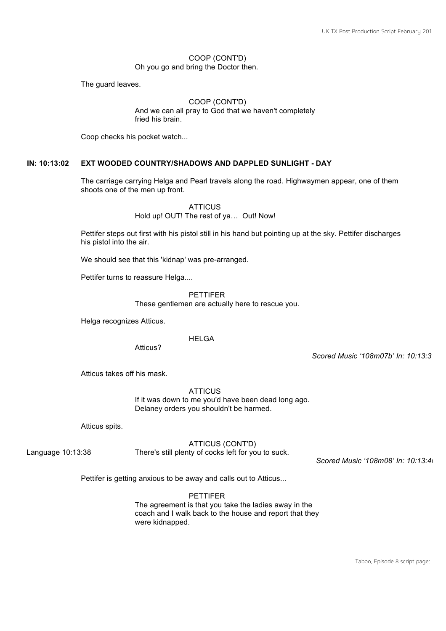#### COOP (CONT'D) Oh you go and bring the Doctor then.

The guard leaves.

#### COOP (CONT'D)

And we can all pray to God that we haven't completely fried his brain.

Coop checks his pocket watch...

#### **IN: 10:13:02 EXT WOODED COUNTRY/SHADOWS AND DAPPLED SUNLIGHT - DAY**

The carriage carrying Helga and Pearl travels along the road. Highwaymen appear, one of them shoots one of the men up front.

> **ATTICUS** Hold up! OUT! The rest of ya… Out! Now!

Pettifer steps out first with his pistol still in his hand but pointing up at the sky. Pettifer discharges his pistol into the air.

We should see that this 'kidnap' was pre-arranged.

Pettifer turns to reassure Helga....

PETTIFER

These gentlemen are actually here to rescue you.

Helga recognizes Atticus.

**HELGA** 

Atticus?

*Scored Music '108m07b' In: 10:13:31*

Atticus takes off his mask.

**ATTICUS** 

If it was down to me you'd have been dead long ago. Delaney orders you shouldn't be harmed.

Atticus spits.

# ATTICUS (CONT'D)

Language 10:13:38 There's still plenty of cocks left for you to suck.

*Scored Music '108m08' In: 10:13:40*

Pettifer is getting anxious to be away and calls out to Atticus...

PETTIFER The agreement is that you take the ladies away in the coach and I walk back to the house and report that they were kidnapped.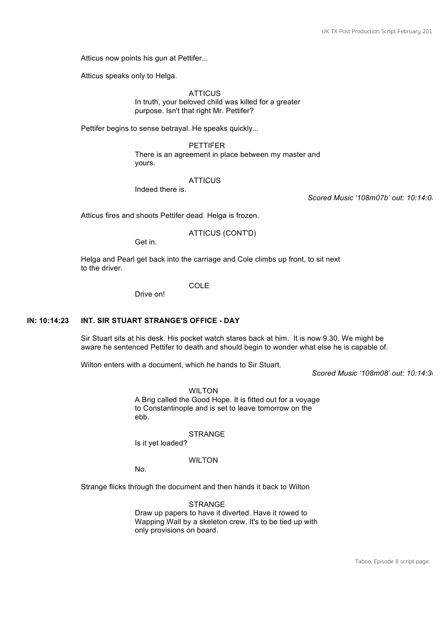Atticus now points his gun at Pettifer...

Atticus speaks only to Helga.

**ATTICUS** In truth, your beloved child was killed for a greater purpose. Isn't that right Mr. Pettifer?

Pettifer begins to sense betrayal. He speaks quickly...

PETTIFER There is an agreement in place between my master and yours.

#### **ATTICUS**

Indeed there is.

*Scored Music '108m07b' out: 10:14:03*

Atticus fires and shoots Pettifer dead. Helga is frozen.

ATTICUS (CONT'D)

Get in.

Helga and Pearl get back into the carriage and Cole climbs up front, to sit next to the driver.

**COLE** 

Drive on!

#### **IN: 10:14:23 INT. SIR STUART STRANGE'S OFFICE - DAY**

Sir Stuart sits at his desk. His pocket watch stares back at him. It is now 9.30. We might be aware he sentenced Pettifer to death and should begin to wonder what else he is capable of.

Wilton enters with a document, which he hands to Sir Stuart.

*Scored Music '108m08' out: 10:14:30*

**WILTON** 

A Brig called the Good Hope. It is fitted out for a voyage to Constantinople and is set to leave tomorrow on the ebb.

**STRANGE** 

Is it yet loaded?

WILTON

No.

Strange flicks through the document and then hands it back to Wilton

**STRANGE** Draw up papers to have it diverted. Have it rowed to Wapping Wall by a skeleton crew. It's to be tied up with only provisions on board.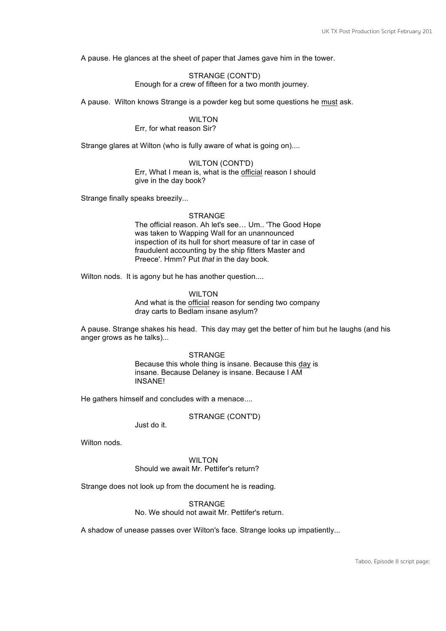A pause. He glances at the sheet of paper that James gave him in the tower.

STRANGE (CONT'D) Enough for a crew of fifteen for a two month journey.

A pause. Wilton knows Strange is a powder keg but some questions he must ask.

WILTON Err, for what reason Sir?

Strange glares at Wilton (who is fully aware of what is going on)....

WILTON (CONT'D) Err, What I mean is, what is the official reason I should give in the day book?

Strange finally speaks breezily...

#### STRANGE

The official reason. Ah let's see… Um.. 'The Good Hope was taken to Wapping Wall for an unannounced inspection of its hull for short measure of tar in case of fraudulent accounting by the ship fitters Master and Preece'. Hmm? Put *that* in the day book.

Wilton nods. It is agony but he has another question....

WILTON And what is the official reason for sending two company dray carts to Bedlam insane asylum?

A pause. Strange shakes his head. This day may get the better of him but he laughs (and his anger grows as he talks)...

> **STRANGE** Because this whole thing is insane. Because this day is insane. Because Delaney is insane. Because I AM INSANE!

He gathers himself and concludes with a menace....

#### STRANGE (CONT'D)

Just do it.

Wilton nods

WILTON Should we await Mr. Pettifer's return?

Strange does not look up from the document he is reading.

**STRANGE** No. We should not await Mr. Pettifer's return.

A shadow of unease passes over Wilton's face. Strange looks up impatiently...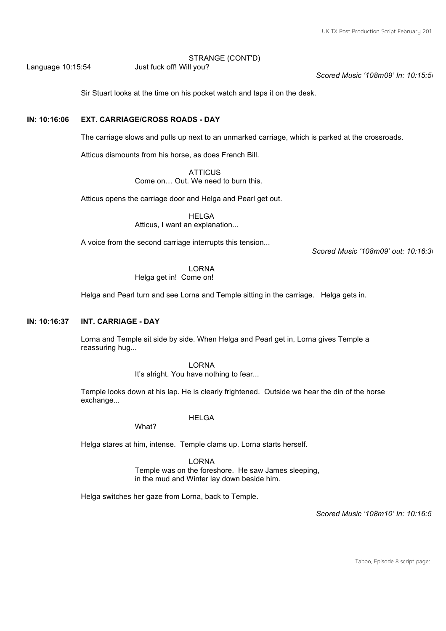STRANGE (CONT'D)

Language 10:15:54 Just fuck off! Will you?

*Scored Music '108m09' In: 10:15:56*

Sir Stuart looks at the time on his pocket watch and taps it on the desk.

# **IN: 10:16:06 EXT. CARRIAGE/CROSS ROADS - DAY**

The carriage slows and pulls up next to an unmarked carriage, which is parked at the crossroads.

Atticus dismounts from his horse, as does French Bill.

**ATTICUS** Come on… Out. We need to burn this.

Atticus opens the carriage door and Helga and Pearl get out.

HELGA Atticus, I want an explanation...

A voice from the second carriage interrupts this tension...

*Scored Music '108m09' out: 10:16:30*

# LORNA

Helga get in! Come on!

Helga and Pearl turn and see Lorna and Temple sitting in the carriage. Helga gets in.

#### **IN: 10:16:37 INT. CARRIAGE - DAY**

Lorna and Temple sit side by side. When Helga and Pearl get in, Lorna gives Temple a reassuring hug...

LORNA

It's alright. You have nothing to fear...

Temple looks down at his lap. He is clearly frightened. Outside we hear the din of the horse exchange...

HELGA

What?

Helga stares at him, intense. Temple clams up. Lorna starts herself.

LORNA Temple was on the foreshore. He saw James sleeping, in the mud and Winter lay down beside him.

Helga switches her gaze from Lorna, back to Temple.

*Scored Music '108m10' In: 10:16:51*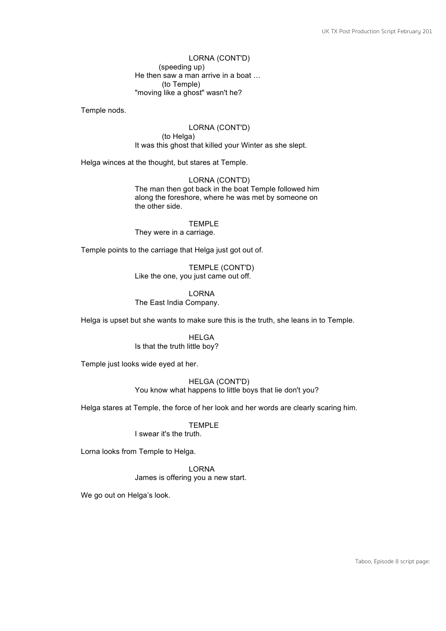LORNA (CONT'D) (speeding up) He then saw a man arrive in a boat … (to Temple) "moving like a ghost" wasn't he?

Temple nods.

LORNA (CONT'D) (to Helga) It was this ghost that killed your Winter as she slept.

Helga winces at the thought, but stares at Temple.

LORNA (CONT'D) The man then got back in the boat Temple followed him along the foreshore, where he was met by someone on the other side.

TEMPLE They were in a carriage.

Temple points to the carriage that Helga just got out of.

TEMPLE (CONT'D) Like the one, you just came out off.

LORNA The East India Company.

Helga is upset but she wants to make sure this is the truth, she leans in to Temple.

HELGA Is that the truth little boy?

Temple just looks wide eyed at her.

HELGA (CONT'D) You know what happens to little boys that lie don't you?

Helga stares at Temple, the force of her look and her words are clearly scaring him.

TEMPLE

I swear it's the truth.

Lorna looks from Temple to Helga.

LORNA James is offering you a new start.

We go out on Helga's look.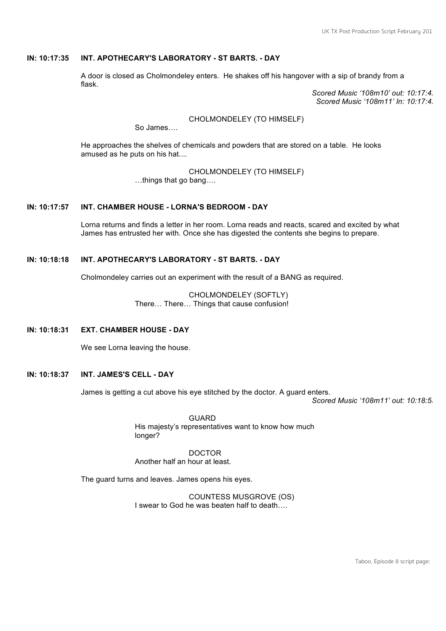# **IN: 10:17:35 INT. APOTHECARY'S LABORATORY - ST BARTS. - DAY**

A door is closed as Cholmondeley enters. He shakes off his hangover with a sip of brandy from a flask.

Scored Music '108m10' out: 10:17:4. *Scored Music '108m11' In: 10:17:4* 

CHOLMONDELEY (TO HIMSELF)

So James….

He approaches the shelves of chemicals and powders that are stored on a table. He looks amused as he puts on his hat....

CHOLMONDELEY (TO HIMSELF)

…things that go bang….

# **IN: 10:17:57 INT. CHAMBER HOUSE - LORNA'S BEDROOM - DAY**

Lorna returns and finds a letter in her room. Lorna reads and reacts, scared and excited by what James has entrusted her with. Once she has digested the contents she begins to prepare.

# **IN: 10:18:18 INT. APOTHECARY'S LABORATORY - ST BARTS. - DAY**

Cholmondeley carries out an experiment with the result of a BANG as required.

CHOLMONDELEY (SOFTLY) There… There… Things that cause confusion!

#### **IN: 10:18:31 EXT. CHAMBER HOUSE - DAY**

We see Lorna leaving the house.

# **IN: 10:18:37 INT. JAMES'S CELL - DAY**

James is getting a cut above his eye stitched by the doctor. A guard enters.

*Scored Music '108m11' out: 10:18:53*

GUARD His majesty's representatives want to know how much longer?

DOCTOR Another half an hour at least.

The guard turns and leaves. James opens his eyes.

COUNTESS MUSGROVE (OS) I swear to God he was beaten half to death….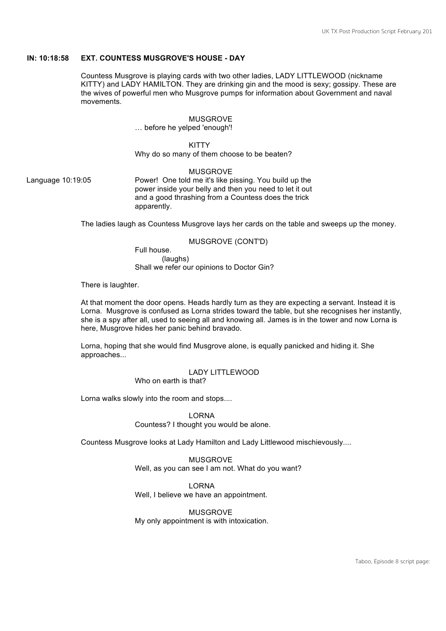# **IN: 10:18:58 EXT. COUNTESS MUSGROVE'S HOUSE - DAY**

Countess Musgrove is playing cards with two other ladies, LADY LITTLEWOOD (nickname KITTY) and LADY HAMILTON. They are drinking gin and the mood is sexy; gossipy. These are the wives of powerful men who Musgrove pumps for information about Government and naval movements.

# MUSGROVE

… before he yelped 'enough'!

**KITTY** Why do so many of them choose to be beaten?

#### MUSGROVE

Language 10:19:05 Power! One told me it's like pissing. You build up the power inside your belly and then you need to let it out and a good thrashing from a Countess does the trick apparently.

The ladies laugh as Countess Musgrove lays her cards on the table and sweeps up the money.

#### MUSGROVE (CONT'D)

Full house. (laughs) Shall we refer our opinions to Doctor Gin?

There is laughter.

At that moment the door opens. Heads hardly turn as they are expecting a servant. Instead it is Lorna. Musgrove is confused as Lorna strides toward the table, but she recognises her instantly, she is a spy after all, used to seeing all and knowing all. James is in the tower and now Lorna is here, Musgrove hides her panic behind bravado.

Lorna, hoping that she would find Musgrove alone, is equally panicked and hiding it. She approaches...

> LADY LITTLEWOOD Who on earth is that?

Lorna walks slowly into the room and stops....

LORNA Countess? I thought you would be alone.

Countess Musgrove looks at Lady Hamilton and Lady Littlewood mischievously....

MUSGROVE Well, as you can see I am not. What do you want?

LORNA Well, I believe we have an appointment.

MUSGROVE My only appointment is with intoxication.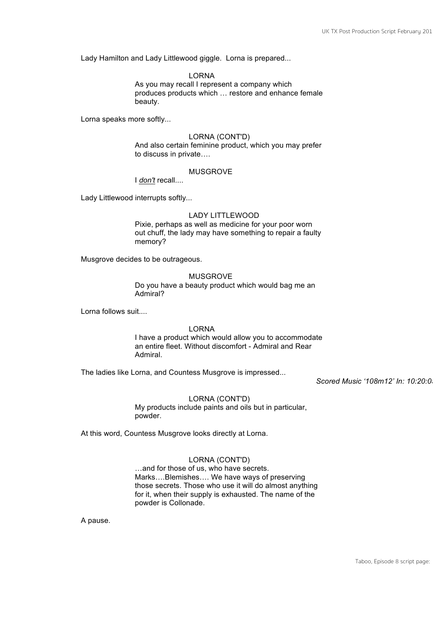Lady Hamilton and Lady Littlewood giggle. Lorna is prepared...

LORNA

As you may recall I represent a company which produces products which … restore and enhance female beauty.

Lorna speaks more softly...

#### LORNA (CONT'D)

And also certain feminine product, which you may prefer to discuss in private….

#### MUSGROVE

I *don't* recall....

Lady Littlewood interrupts softly...

#### LADY LITTLEWOOD

Pixie, perhaps as well as medicine for your poor worn out chuff, the lady may have something to repair a faulty memory?

Musgrove decides to be outrageous.

MUSGROVE Do you have a beauty product which would bag me an Admiral?

Lorna follows suit....

#### LORNA

I have a product which would allow you to accommodate an entire fleet. Without discomfort - Admiral and Rear Admiral.

The ladies like Lorna, and Countess Musgrove is impressed...

*Scored Music '108m12' In: 10:20:05*

# LORNA (CONT'D)

My products include paints and oils but in particular, powder.

At this word, Countess Musgrove looks directly at Lorna.

# LORNA (CONT'D)

…and for those of us, who have secrets. Marks….Blemishes…. We have ways of preserving those secrets. Those who use it will do almost anything for it, when their supply is exhausted. The name of the powder is Collonade.

A pause.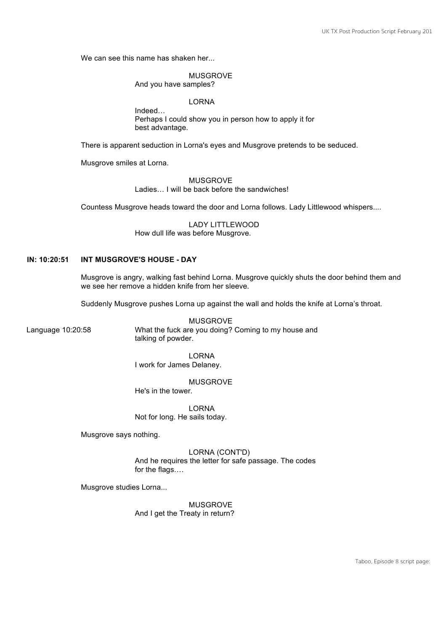We can see this name has shaken her...

#### MUSGROVE

And you have samples?

LORNA

Indeed… Perhaps I could show you in person how to apply it for best advantage.

There is apparent seduction in Lorna's eyes and Musgrove pretends to be seduced.

Musgrove smiles at Lorna.

MUSGROVE

Ladies… I will be back before the sandwiches!

Countess Musgrove heads toward the door and Lorna follows. Lady Littlewood whispers....

LADY LITTLEWOOD How dull life was before Musgrove.

# **IN: 10:20:51 INT MUSGROVE'S HOUSE - DAY**

Musgrove is angry, walking fast behind Lorna. Musgrove quickly shuts the door behind them and we see her remove a hidden knife from her sleeve.

Suddenly Musgrove pushes Lorna up against the wall and holds the knife at Lorna's throat.

MUSGROVE Language 10:20:58 What the fuck are you doing? Coming to my house and talking of powder.

> LORNA I work for James Delaney.

> > MUSGROVE

He's in the tower.

LORNA Not for long. He sails today.

Musgrove says nothing.

LORNA (CONT'D) And he requires the letter for safe passage. The codes for the flags….

Musgrove studies Lorna...

MUSGROVE And I get the Treaty in return?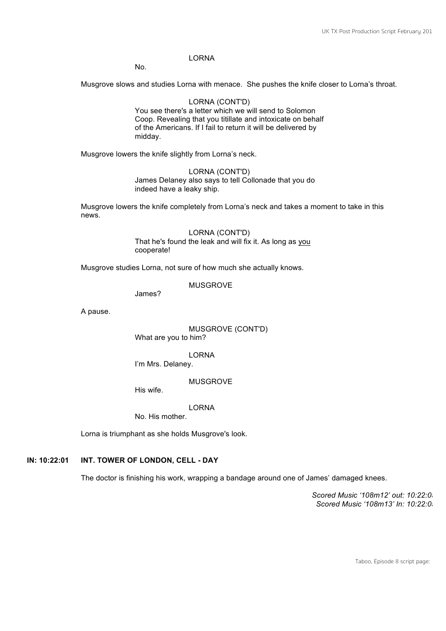# LORNA

No.

Musgrove slows and studies Lorna with menace. She pushes the knife closer to Lorna's throat.

LORNA (CONT'D) You see there's a letter which we will send to Solomon Coop. Revealing that you titillate and intoxicate on behalf of the Americans. If I fail to return it will be delivered by midday.

Musgrove lowers the knife slightly from Lorna's neck.

LORNA (CONT'D) James Delaney also says to tell Collonade that you do indeed have a leaky ship.

Musgrove lowers the knife completely from Lorna's neck and takes a moment to take in this news.

> LORNA (CONT'D) That he's found the leak and will fix it. As long as you cooperate!

Musgrove studies Lorna, not sure of how much she actually knows.

MUSGROVE

James?

A pause.

MUSGROVE (CONT'D) What are you to him?

LORNA I'm Mrs. Delaney.

MUSGROVE

His wife.

LORNA

No. His mother.

Lorna is triumphant as she holds Musgrove's look.

# **IN: 10:22:01 INT. TOWER OF LONDON, CELL - DAY**

The doctor is finishing his work, wrapping a bandage around one of James' damaged knees.

*Scored Music '108m12' out: 10:22:05 Scored Music '108m13' In: 10:22:05*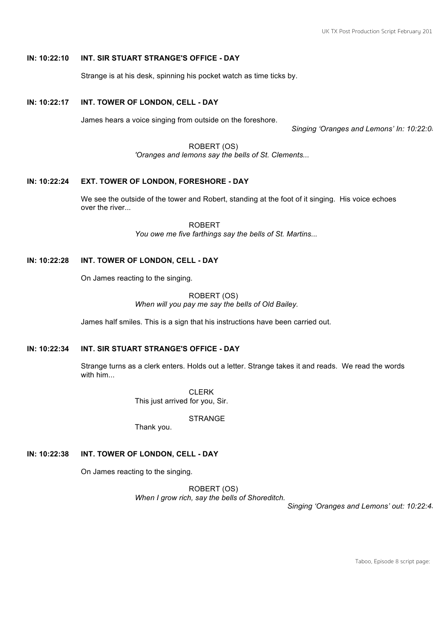# **IN: 10:22:10 INT. SIR STUART STRANGE'S OFFICE - DAY**

Strange is at his desk, spinning his pocket watch as time ticks by.

# **IN: 10:22:17 INT. TOWER OF LONDON, CELL - DAY**

James hears a voice singing from outside on the foreshore.

*Singing 'Oranges and Lemons' In: 10:22:05*

ROBERT (OS) *'Oranges and lemons say the bells of St. Clements...*

#### **IN: 10:22:24 EXT. TOWER OF LONDON, FORESHORE - DAY**

We see the outside of the tower and Robert, standing at the foot of it singing. His voice echoes over the river...

> ROBERT *You owe me five farthings say the bells of St. Martins...*

# **IN: 10:22:28 INT. TOWER OF LONDON, CELL - DAY**

On James reacting to the singing.

ROBERT (OS) *When will you pay me say the bells of Old Bailey.*

James half smiles. This is a sign that his instructions have been carried out.

# **IN: 10:22:34 INT. SIR STUART STRANGE'S OFFICE - DAY**

Strange turns as a clerk enters. Holds out a letter. Strange takes it and reads. We read the words with him...

> CLERK This just arrived for you, Sir.

> > STRANGE

Thank you.

#### **IN: 10:22:38 INT. TOWER OF LONDON, CELL - DAY**

On James reacting to the singing.

ROBERT (OS) *When I grow rich, say the bells of Shoreditch.* 

*Singing 'Oranges and Lemons' out: 10:22:43*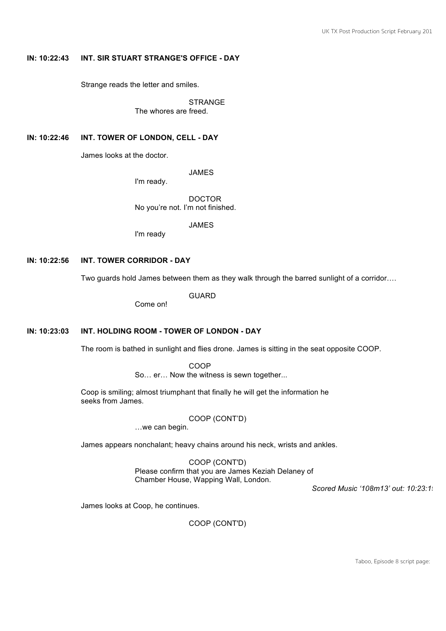# **IN: 10:22:43 INT. SIR STUART STRANGE'S OFFICE - DAY**

Strange reads the letter and smiles.

**STRANGE** The whores are freed.

**IN: 10:22:46 INT. TOWER OF LONDON, CELL - DAY**

James looks at the doctor.

JAMES

I'm ready.

DOCTOR No you're not. I'm not finished.

JAMES

I'm ready

# **IN: 10:22:56 INT. TOWER CORRIDOR - DAY**

Two guards hold James between them as they walk through the barred sunlight of a corridor….

GUARD

Come on!

#### **IN: 10:23:03 INT. HOLDING ROOM - TOWER OF LONDON - DAY**

The room is bathed in sunlight and flies drone. James is sitting in the seat opposite COOP.

COOP

So… er… Now the witness is sewn together...

Coop is smiling; almost triumphant that finally he will get the information he seeks from James.

COOP (CONT'D)

…we can begin.

James appears nonchalant; heavy chains around his neck, wrists and ankles.

COOP (CONT'D) Please confirm that you are James Keziah Delaney of Chamber House, Wapping Wall, London.

*Scored Music '108m13' out: 10:23:19*

James looks at Coop, he continues.

COOP (CONT'D)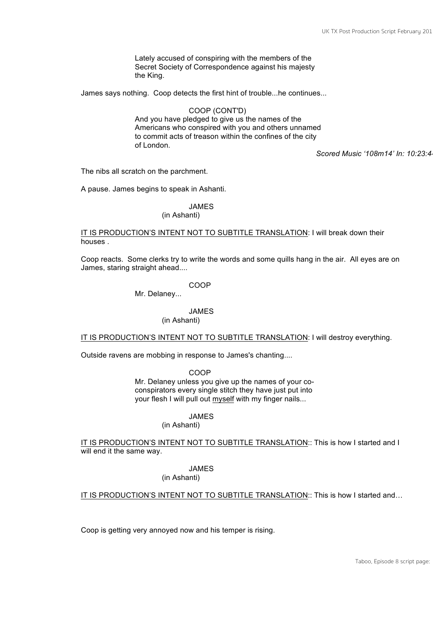Lately accused of conspiring with the members of the Secret Society of Correspondence against his majesty the King.

James says nothing. Coop detects the first hint of trouble...he continues...

COOP (CONT'D) And you have pledged to give us the names of the Americans who conspired with you and others unnamed to commit acts of treason within the confines of the city of London.

*Scored Music '108m14' In: 10:23:44*

The nibs all scratch on the parchment.

A pause. James begins to speak in Ashanti.

JAMES

(in Ashanti)

#### IT IS PRODUCTION'S INTENT NOT TO SUBTITLE TRANSLATION: I will break down their houses .

Coop reacts. Some clerks try to write the words and some quills hang in the air. All eyes are on James, staring straight ahead....

#### COOP

Mr. Delaney...

#### JAMES

# (in Ashanti)

IT IS PRODUCTION'S INTENT NOT TO SUBTITLE TRANSLATION: I will destroy everything.

Outside ravens are mobbing in response to James's chanting....

COOP

Mr. Delaney unless you give up the names of your coconspirators every single stitch they have just put into your flesh I will pull out myself with my finger nails...

JAMES

(in Ashanti)

IT IS PRODUCTION'S INTENT NOT TO SUBTITLE TRANSLATION:: This is how I started and I will end it the same way.

JAMES

# (in Ashanti)

IT IS PRODUCTION'S INTENT NOT TO SUBTITLE TRANSLATION:: This is how I started and…

Coop is getting very annoyed now and his temper is rising.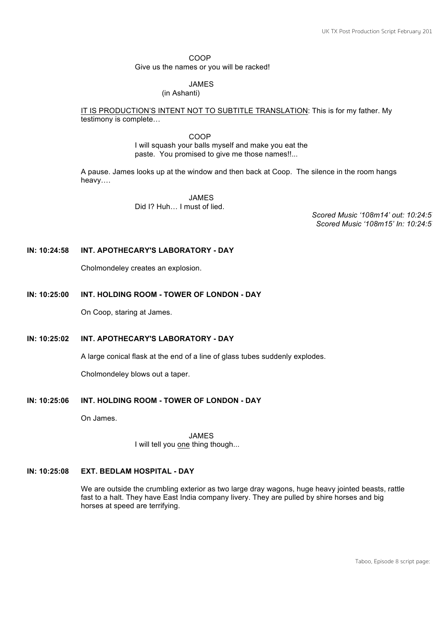COOP Give us the names or you will be racked!

#### JAMES

#### (in Ashanti)

IT IS PRODUCTION'S INTENT NOT TO SUBTITLE TRANSLATION: This is for my father. My testimony is complete…

> COOP I will squash your balls myself and make you eat the paste. You promised to give me those names!!...

A pause. James looks up at the window and then back at Coop. The silence in the room hangs heavy….

> JAMES Did I? Huh… I must of lied.

*Scored Music '108m14' out: 10:24:57 Scored Music '108m15' In: 10:24:57*

# **IN: 10:24:58 INT. APOTHECARY'S LABORATORY - DAY**

Cholmondeley creates an explosion.

#### **IN: 10:25:00 INT. HOLDING ROOM - TOWER OF LONDON - DAY**

On Coop, staring at James.

#### **IN: 10:25:02 INT. APOTHECARY'S LABORATORY - DAY**

A large conical flask at the end of a line of glass tubes suddenly explodes.

Cholmondeley blows out a taper.

#### **IN: 10:25:06 INT. HOLDING ROOM - TOWER OF LONDON - DAY**

On James.

JAMES I will tell you one thing though...

#### **IN: 10:25:08 EXT. BEDLAM HOSPITAL - DAY**

We are outside the crumbling exterior as two large dray wagons, huge heavy jointed beasts, rattle fast to a halt. They have East India company livery. They are pulled by shire horses and big horses at speed are terrifying.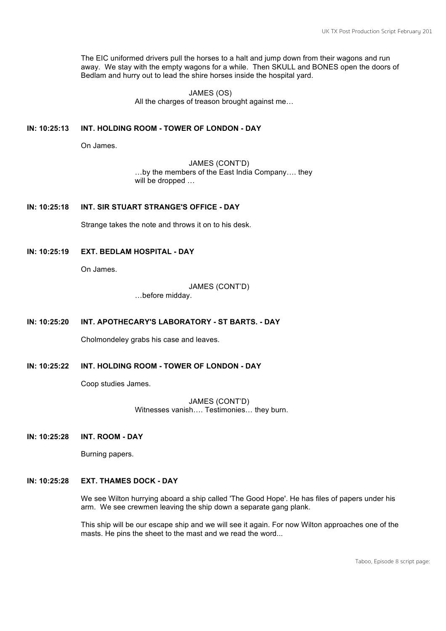The EIC uniformed drivers pull the horses to a halt and jump down from their wagons and run away. We stay with the empty wagons for a while. Then SKULL and BONES open the doors of Bedlam and hurry out to lead the shire horses inside the hospital yard.

> JAMES (OS) All the charges of treason brought against me…

# **IN: 10:25:13 INT. HOLDING ROOM - TOWER OF LONDON - DAY**

On James.

JAMES (CONT'D) …by the members of the East India Company…. they will be dropped ...

**IN: 10:25:18 INT. SIR STUART STRANGE'S OFFICE - DAY**

Strange takes the note and throws it on to his desk.

**IN: 10:25:19 EXT. BEDLAM HOSPITAL - DAY**

On James.

#### JAMES (CONT'D)

…before midday.

**IN: 10:25:20 INT. APOTHECARY'S LABORATORY - ST BARTS. - DAY**

Cholmondeley grabs his case and leaves.

**IN: 10:25:22 INT. HOLDING ROOM - TOWER OF LONDON - DAY**

Coop studies James.

JAMES (CONT'D) Witnesses vanish…. Testimonies… they burn.

**IN: 10:25:28 INT. ROOM - DAY**

Burning papers.

# **IN: 10:25:28 EXT. THAMES DOCK - DAY**

We see Wilton hurrying aboard a ship called 'The Good Hope'. He has files of papers under his arm. We see crewmen leaving the ship down a separate gang plank.

This ship will be our escape ship and we will see it again. For now Wilton approaches one of the masts. He pins the sheet to the mast and we read the word...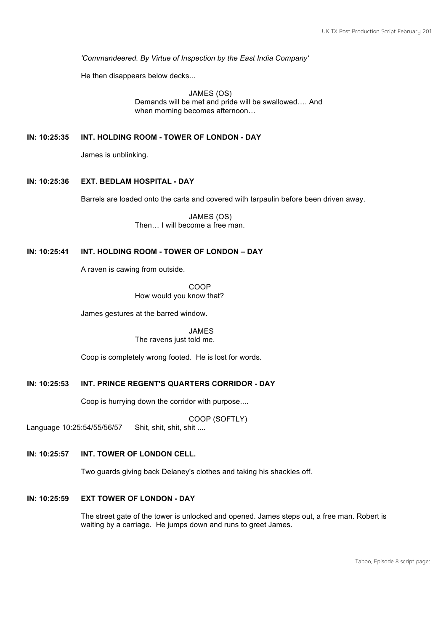*'Commandeered. By Virtue of Inspection by the East India Company'*

He then disappears below decks...

JAMES (OS) Demands will be met and pride will be swallowed…. And when morning becomes afternoon…

# **IN: 10:25:35 INT. HOLDING ROOM - TOWER OF LONDON - DAY**

James is unblinking.

# **IN: 10:25:36 EXT. BEDLAM HOSPITAL - DAY**

Barrels are loaded onto the carts and covered with tarpaulin before been driven away.

JAMES (OS) Then… I will become a free man.

# **IN: 10:25:41 INT. HOLDING ROOM - TOWER OF LONDON – DAY**

A raven is cawing from outside.

COOP How would you know that?

James gestures at the barred window.

JAMES The ravens just told me.

Coop is completely wrong footed. He is lost for words.

# **IN: 10:25:53 INT. PRINCE REGENT'S QUARTERS CORRIDOR - DAY**

Coop is hurrying down the corridor with purpose....

COOP (SOFTLY)

Language 10:25:54/55/56/57 Shit, shit, shit, shit ....

# **IN: 10:25:57 INT. TOWER OF LONDON CELL.**

Two guards giving back Delaney's clothes and taking his shackles off.

# **IN: 10:25:59 EXT TOWER OF LONDON - DAY**

The street gate of the tower is unlocked and opened. James steps out, a free man. Robert is waiting by a carriage. He jumps down and runs to greet James.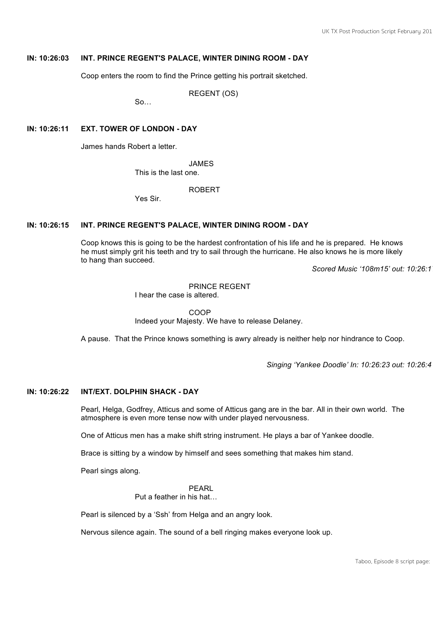# **IN: 10:26:03 INT. PRINCE REGENT'S PALACE, WINTER DINING ROOM - DAY**

Coop enters the room to find the Prince getting his portrait sketched.

REGENT (OS)

 $So...$ 

# **IN: 10:26:11 EXT. TOWER OF LONDON - DAY**

James hands Robert a letter.

JAMES

This is the last one.

ROBERT

Yes Sir.

# **IN: 10:26:15 INT. PRINCE REGENT'S PALACE, WINTER DINING ROOM - DAY**

Coop knows this is going to be the hardest confrontation of his life and he is prepared. He knows he must simply grit his teeth and try to sail through the hurricane. He also knows he is more likely to hang than succeed.

*Scored Music '108m15' out: 10:26:17*

#### PRINCE REGENT

I hear the case is altered.

COOP Indeed your Majesty. We have to release Delaney.

A pause. That the Prince knows something is awry already is neither help nor hindrance to Coop.

*Singing 'Yankee Doodle' In: 10:26:23 out: 10:26:41*

#### **IN: 10:26:22 INT/EXT. DOLPHIN SHACK - DAY**

Pearl, Helga, Godfrey, Atticus and some of Atticus gang are in the bar. All in their own world. The atmosphere is even more tense now with under played nervousness.

One of Atticus men has a make shift string instrument. He plays a bar of Yankee doodle.

Brace is sitting by a window by himself and sees something that makes him stand.

Pearl sings along.

PEARL Put a feather in his hat…

Pearl is silenced by a 'Ssh' from Helga and an angry look.

Nervous silence again. The sound of a bell ringing makes everyone look up.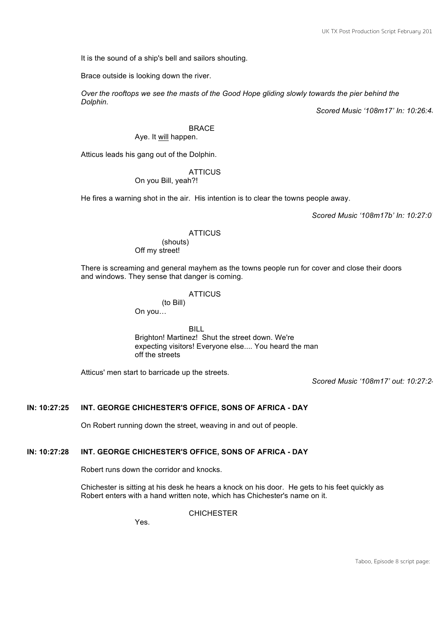It is the sound of a ship's bell and sailors shouting.

Brace outside is looking down the river.

*Over the rooftops we see the masts of the Good Hope gliding slowly towards the pier behind the Dolphin.*

*Scored Music '108m17' In: 10:26:43*

BRACE

# Aye. It will happen.

Atticus leads his gang out of the Dolphin.

# **ATTICUS**

On you Bill, yeah?!

He fires a warning shot in the air. His intention is to clear the towns people away.

*Scored Music '108m17b' In: 10:27:07* 

# **ATTICUS**

(shouts) Off my street!

There is screaming and general mayhem as the towns people run for cover and close their doors and windows. They sense that danger is coming.

# **ATTICUS**

(to Bill) On you…

BILL Brighton! Martinez! Shut the street down. We're expecting visitors! Everyone else.... You heard the man off the streets

Atticus' men start to barricade up the streets.

*Scored Music '108m17' out: 10:27:24*

# **IN: 10:27:25 INT. GEORGE CHICHESTER'S OFFICE, SONS OF AFRICA - DAY**

On Robert running down the street, weaving in and out of people.

# **IN: 10:27:28 INT. GEORGE CHICHESTER'S OFFICE, SONS OF AFRICA - DAY**

Robert runs down the corridor and knocks.

Chichester is sitting at his desk he hears a knock on his door. He gets to his feet quickly as Robert enters with a hand written note, which has Chichester's name on it.

**CHICHESTER** 

Yes.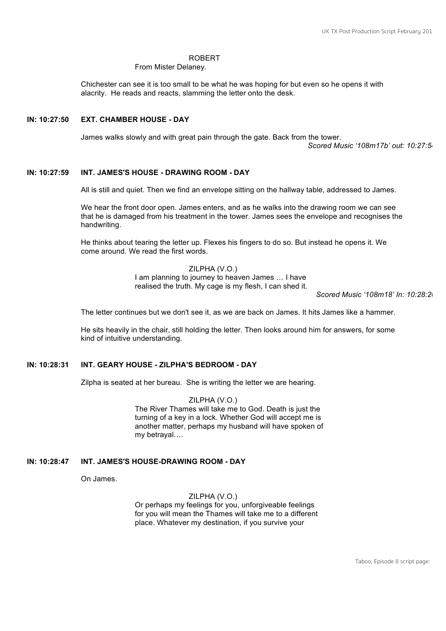#### ROBERT

From Mister Delaney.

Chichester can see it is too small to be what he was hoping for but even so he opens it with alacrity. He reads and reacts, slamming the letter onto the desk.

#### **IN: 10:27:50 EXT. CHAMBER HOUSE - DAY**

James walks slowly and with great pain through the gate. Back from the tower.

*Scored Music '108m17b' out: 10:27:54*

# **IN: 10:27:59 INT. JAMES'S HOUSE - DRAWING ROOM - DAY**

All is still and quiet. Then we find an envelope sitting on the hallway table, addressed to James.

We hear the front door open. James enters, and as he walks into the drawing room we can see that he is damaged from his treatment in the tower. James sees the envelope and recognises the handwriting.

He thinks about tearing the letter up. Flexes his fingers to do so. But instead he opens it. We come around. We read the first words.

> ZILPHA (V.O.) I am planning to journey to heaven James … I have realised the truth. My cage is my flesh, I can shed it.

> > *Scored Music '108m18' In: 10:28:20*

The letter continues but we don't see it, as we are back on James. It hits James like a hammer.

He sits heavily in the chair, still holding the letter. Then looks around him for answers, for some kind of intuitive understanding.

# **IN: 10:28:31 INT. GEARY HOUSE - ZILPHA'S BEDROOM - DAY**

Zilpha is seated at her bureau. She is writing the letter we are hearing.

ZILPHA (V.O.) The River Thames will take me to God. Death is just the turning of a key in a lock. Whether God will accept me is another matter, perhaps my husband will have spoken of my betrayal….

# **IN: 10:28:47 INT. JAMES'S HOUSE-DRAWING ROOM - DAY**

On James.

#### ZILPHA (V.O.)

Or perhaps my feelings for you, unforgiveable feelings for you will mean the Thames will take me to a different place. Whatever my destination, if you survive your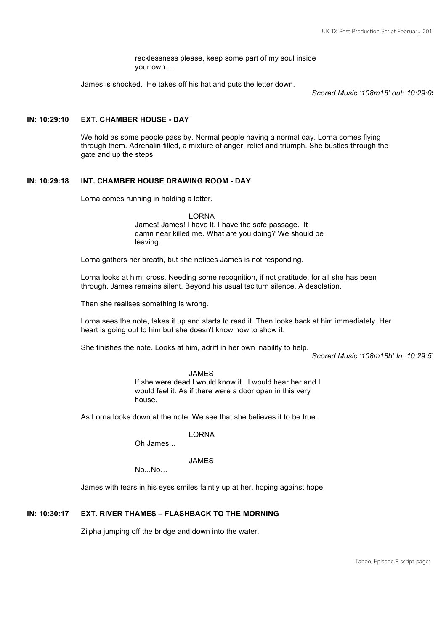recklessness please, keep some part of my soul inside your own…

James is shocked. He takes off his hat and puts the letter down.

*Scored Music '108m18' out: 10:29:09* 

#### **IN: 10:29:10 EXT. CHAMBER HOUSE - DAY**

We hold as some people pass by. Normal people having a normal day. Lorna comes flying through them. Adrenalin filled, a mixture of anger, relief and triumph. She bustles through the gate and up the steps.

#### **IN: 10:29:18 INT. CHAMBER HOUSE DRAWING ROOM - DAY**

Lorna comes running in holding a letter.

LORNA James! James! I have it. I have the safe passage. It damn near killed me. What are you doing? We should be leaving.

Lorna gathers her breath, but she notices James is not responding.

Lorna looks at him, cross. Needing some recognition, if not gratitude, for all she has been through. James remains silent. Beyond his usual taciturn silence. A desolation.

Then she realises something is wrong.

Lorna sees the note, takes it up and starts to read it. Then looks back at him immediately. Her heart is going out to him but she doesn't know how to show it.

She finishes the note. Looks at him, adrift in her own inability to help.

*Scored Music '108m18b' In: 10:29:57*

#### JAMES

If she were dead I would know it. I would hear her and I would feel it. As if there were a door open in this very house.

As Lorna looks down at the note. We see that she believes it to be true.

LORNA

Oh James...

JAMES

No...No…

James with tears in his eyes smiles faintly up at her, hoping against hope.

# **IN: 10:30:17 EXT. RIVER THAMES – FLASHBACK TO THE MORNING**

Zilpha jumping off the bridge and down into the water.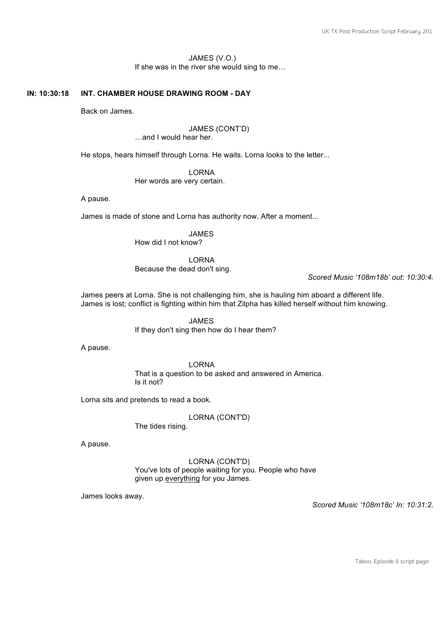# JAMES (V.O.) If she was in the river she would sing to me…

# **IN: 10:30:18 INT. CHAMBER HOUSE DRAWING ROOM - DAY**

Back on James.

# JAMES (CONT'D)

…and I would hear her.

He stops, hears himself through Lorna. He waits. Lorna looks to the letter...

LORNA

Her words are very certain.

A pause.

James is made of stone and Lorna has authority now. After a moment...

JAMES

How did I not know?

LORNA

Because the dead don't sing.

*Scored Music '108m18b' out: 10:30:45*

James peers at Lorna. She is not challenging him, she is hauling him aboard a different life. James is lost; conflict is fighting within him that Zilpha has killed herself without him knowing.

> JAMES If they don't sing then how do I hear them?

A pause.

LORNA That is a question to be asked and answered in America. Is it not?

Lorna sits and pretends to read a book.

LORNA (CONT'D)

The tides rising.

A pause.

LORNA (CONT'D) You've lots of people waiting for you. People who have given up everything for you James.

James looks away.

*Scored Music '108m18c' In: 10:31:22*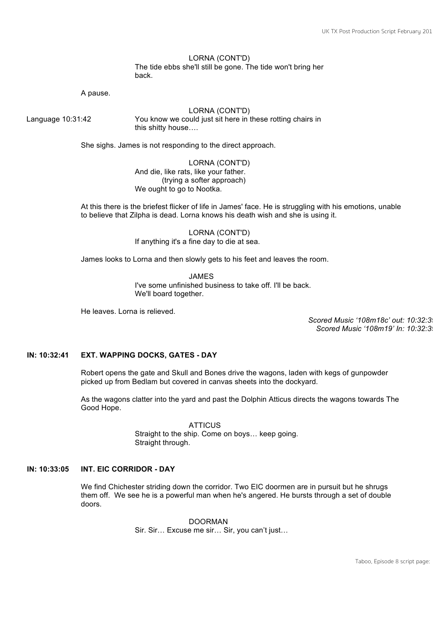#### LORNA (CONT'D) The tide ebbs she'll still be gone. The tide won't bring her back.

A pause.

LORNA (CONT'D) Language 10:31:42 You know we could just sit here in these rotting chairs in this shitty house….

She sighs. James is not responding to the direct approach.

LORNA (CONT'D) And die, like rats, like your father. (trying a softer approach) We ought to go to Nootka.

At this there is the briefest flicker of life in James' face. He is struggling with his emotions, unable to believe that Zilpha is dead. Lorna knows his death wish and she is using it.

> LORNA (CONT'D) If anything it's a fine day to die at sea.

James looks to Lorna and then slowly gets to his feet and leaves the room.

JAMES I've some unfinished business to take off. I'll be back. We'll board together.

He leaves. Lorna is relieved.

*Scored Music '108m18c' out: 10:32:39 Scored Music '108m19' In: 10:32:39*

# **IN: 10:32:41 EXT. WAPPING DOCKS, GATES - DAY**

Robert opens the gate and Skull and Bones drive the wagons, laden with kegs of gunpowder picked up from Bedlam but covered in canvas sheets into the dockyard.

As the wagons clatter into the yard and past the Dolphin Atticus directs the wagons towards The Good Hope.

> **ATTICUS** Straight to the ship. Come on boys… keep going. Straight through.

#### **IN: 10:33:05 INT. EIC CORRIDOR - DAY**

We find Chichester striding down the corridor. Two EIC doormen are in pursuit but he shrugs them off. We see he is a powerful man when he's angered. He bursts through a set of double doors.

> DOORMAN Sir. Sir… Excuse me sir… Sir, you can't just…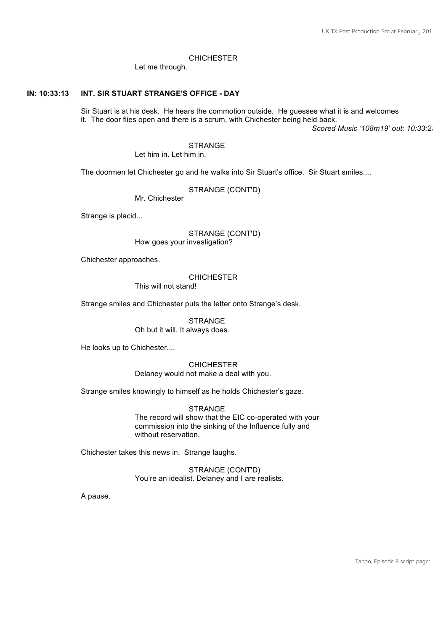#### **CHICHESTER**

Let me through.

#### **IN: 10:33:13 INT. SIR STUART STRANGE'S OFFICE - DAY**

Sir Stuart is at his desk. He hears the commotion outside. He guesses what it is and welcomes it. The door flies open and there is a scrum, with Chichester being held back.

*Scored Music '108m19' out: 10:33:25*

**STRANGE** Let him in. Let him in.

The doormen let Chichester go and he walks into Sir Stuart's office. Sir Stuart smiles....

STRANGE (CONT'D)

Mr. Chichester

Strange is placid...

#### STRANGE (CONT'D) How goes your investigation?

Chichester approaches.

# **CHICHESTER**

This will not stand!

Strange smiles and Chichester puts the letter onto Strange's desk.

**STRANGE** Oh but it will. It always does.

He looks up to Chichester....

# **CHICHESTER** Delaney would not make a deal with you.

Strange smiles knowingly to himself as he holds Chichester's gaze.

**STRANGE** The record will show that the EIC co-operated with your commission into the sinking of the Influence fully and without reservation.

Chichester takes this news in. Strange laughs.

STRANGE (CONT'D) You're an idealist. Delaney and I are realists.

A pause.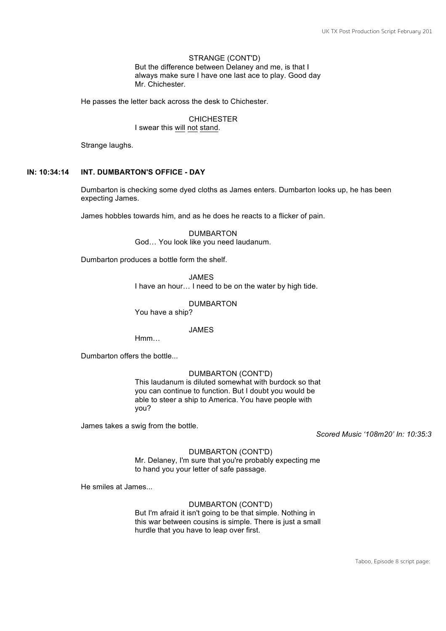#### STRANGE (CONT'D) But the difference between Delaney and me, is that I always make sure I have one last ace to play. Good day Mr. Chichester.

He passes the letter back across the desk to Chichester.

CHICHESTER I swear this will not stand.

Strange laughs.

# **IN: 10:34:14 INT. DUMBARTON'S OFFICE - DAY**

Dumbarton is checking some dyed cloths as James enters. Dumbarton looks up, he has been expecting James.

James hobbles towards him, and as he does he reacts to a flicker of pain.

DUMBARTON God… You look like you need laudanum.

Dumbarton produces a bottle form the shelf.

JAMES I have an hour… I need to be on the water by high tide.

DUMBARTON

You have a ship?

JAMES

Hmm…

Dumbarton offers the bottle...

# DUMBARTON (CONT'D)

This laudanum is diluted somewhat with burdock so that you can continue to function. But I doubt you would be able to steer a ship to America. You have people with you?

James takes a swig from the bottle.

*Scored Music '108m20' In: 10:35:31*

#### DUMBARTON (CONT'D)

Mr. Delaney, I'm sure that you're probably expecting me to hand you your letter of safe passage.

He smiles at James...

#### DUMBARTON (CONT'D)

But I'm afraid it isn't going to be that simple. Nothing in this war between cousins is simple. There is just a small hurdle that you have to leap over first.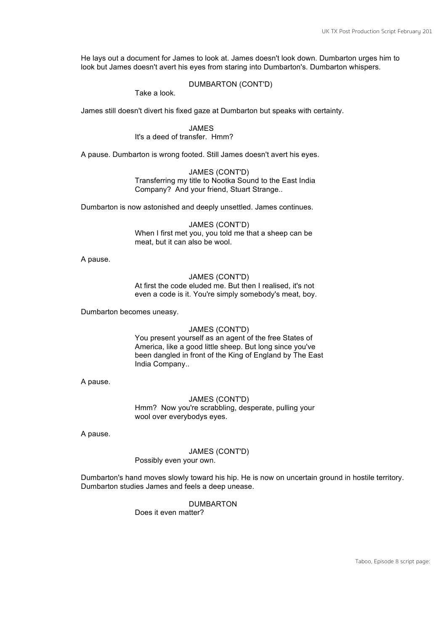He lays out a document for James to look at. James doesn't look down. Dumbarton urges him to look but James doesn't avert his eyes from staring into Dumbarton's. Dumbarton whispers.

# DUMBARTON (CONT'D)

Take a look.

James still doesn't divert his fixed gaze at Dumbarton but speaks with certainty.

JAMES It's a deed of transfer. Hmm?

A pause. Dumbarton is wrong footed. Still James doesn't avert his eyes.

JAMES (CONT'D) Transferring my title to Nootka Sound to the East India Company? And your friend, Stuart Strange..

Dumbarton is now astonished and deeply unsettled. James continues.

JAMES (CONT'D) When I first met you, you told me that a sheep can be meat, but it can also be wool.

A pause.

#### JAMES (CONT'D) At first the code eluded me. But then I realised, it's not even a code is it. You're simply somebody's meat, boy.

Dumbarton becomes uneasy.

#### JAMES (CONT'D)

You present yourself as an agent of the free States of America, like a good little sheep. But long since you've been dangled in front of the King of England by The East India Company..

A pause.

# JAMES (CONT'D)

Hmm? Now you're scrabbling, desperate, pulling your wool over everybodys eyes.

A pause.

# JAMES (CONT'D)

Possibly even your own.

Dumbarton's hand moves slowly toward his hip. He is now on uncertain ground in hostile territory. Dumbarton studies James and feels a deep unease.

> DUMBARTON Does it even matter?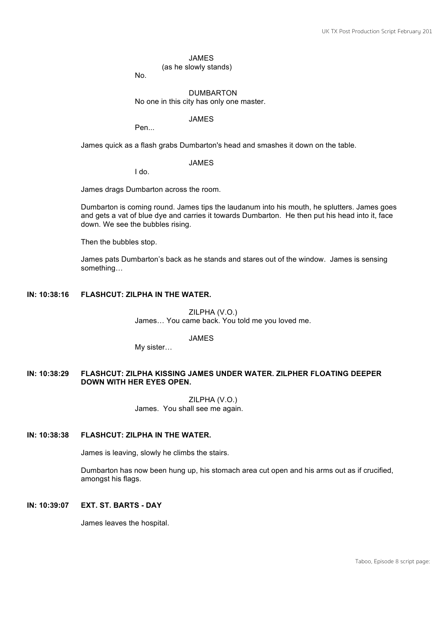#### JAMES

(as he slowly stands)

No.

#### DUMBARTON No one in this city has only one master.

JAMES

Pen...

James quick as a flash grabs Dumbarton's head and smashes it down on the table.

JAMES

I do.

James drags Dumbarton across the room.

Dumbarton is coming round. James tips the laudanum into his mouth, he splutters. James goes and gets a vat of blue dye and carries it towards Dumbarton. He then put his head into it, face down. We see the bubbles rising.

Then the bubbles stop.

James pats Dumbarton's back as he stands and stares out of the window. James is sensing something…

#### **IN: 10:38:16 FLASHCUT: ZILPHA IN THE WATER.**

ZILPHA (V.O.) James… You came back. You told me you loved me.

JAMES

My sister…

# **IN: 10:38:29 FLASHCUT: ZILPHA KISSING JAMES UNDER WATER. ZILPHER FLOATING DEEPER DOWN WITH HER EYES OPEN.**

ZILPHA (V.O.) James. You shall see me again.

#### **IN: 10:38:38 FLASHCUT: ZILPHA IN THE WATER.**

James is leaving, slowly he climbs the stairs.

Dumbarton has now been hung up, his stomach area cut open and his arms out as if crucified, amongst his flags.

#### **IN: 10:39:07 EXT. ST. BARTS - DAY**

James leaves the hospital.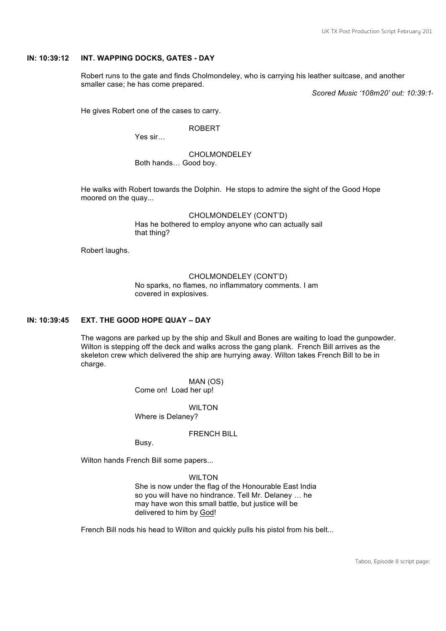#### **IN: 10:39:12 INT. WAPPING DOCKS, GATES - DAY**

Robert runs to the gate and finds Cholmondeley, who is carrying his leather suitcase, and another smaller case; he has come prepared.

*Scored Music '108m20' out: 10:39:14*

He gives Robert one of the cases to carry.

ROBERT

Yes sir…

CHOLMONDELEY

Both hands… Good boy.

He walks with Robert towards the Dolphin. He stops to admire the sight of the Good Hope moored on the quay...

> CHOLMONDELEY (CONT'D) Has he bothered to employ anyone who can actually sail that thing?

Robert laughs.

# CHOLMONDELEY (CONT'D)

No sparks, no flames, no inflammatory comments. I am covered in explosives.

#### **IN: 10:39:45 EXT. THE GOOD HOPE QUAY – DAY**

The wagons are parked up by the ship and Skull and Bones are waiting to load the gunpowder. Wilton is stepping off the deck and walks across the gang plank. French Bill arrives as the skeleton crew which delivered the ship are hurrying away. Wilton takes French Bill to be in charge.

> MAN (OS) Come on! Load her up!

WILTON. Where is Delaney?

# FRENCH BILL

Busy.

Wilton hands French Bill some papers...

#### WILTON

She is now under the flag of the Honourable East India so you will have no hindrance. Tell Mr. Delaney … he may have won this small battle, but justice will be delivered to him by God!

French Bill nods his head to Wilton and quickly pulls his pistol from his belt...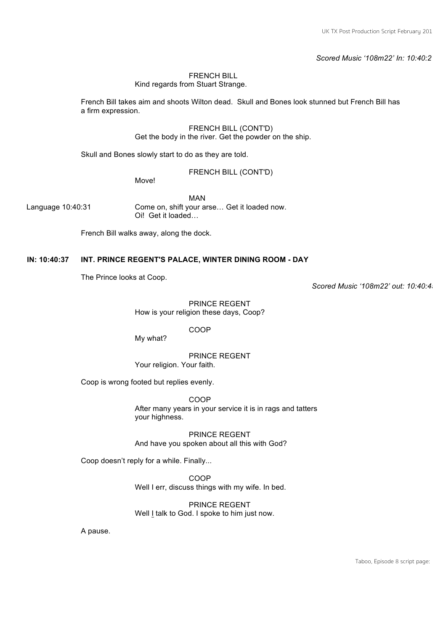*Scored Music '108m22' In: 10:40:21*

# FRENCH BILL

Kind regards from Stuart Strange.

French Bill takes aim and shoots Wilton dead. Skull and Bones look stunned but French Bill has a firm expression.

> FRENCH BILL (CONT'D) Get the body in the river. Get the powder on the ship.

Skull and Bones slowly start to do as they are told.

FRENCH BILL (CONT'D)

Move!

MAN Language 10:40:31 Come on, shift your arse... Get it loaded now. Oi! Get it loaded…

French Bill walks away, along the dock.

# **IN: 10:40:37 INT. PRINCE REGENT'S PALACE, WINTER DINING ROOM - DAY**

The Prince looks at Coop.

*Scored Music '108m22' out: 10:40:45*

PRINCE REGENT How is your religion these days, Coop?

COOP

My what?

PRINCE REGENT Your religion. Your faith.

Coop is wrong footed but replies evenly.

COOP After many years in your service it is in rags and tatters your highness.

PRINCE REGENT And have you spoken about all this with God?

Coop doesn't reply for a while. Finally...

COOP Well I err, discuss things with my wife. In bed.

PRINCE REGENT Well I talk to God. I spoke to him just now.

A pause.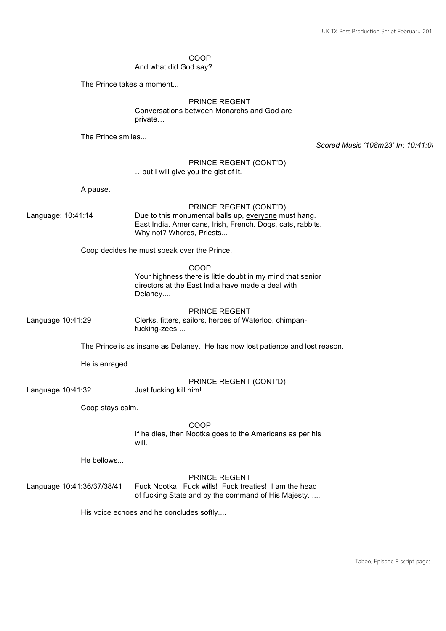# COOP

And what did God say?

The Prince takes a moment...

# PRINCE REGENT Conversations between Monarchs and God are

private…

The Prince smiles...

*Scored Music '108m23' In: 10:41:08*

#### PRINCE REGENT (CONT'D) …but I will give you the gist of it.

A pause.

# PRINCE REGENT (CONT'D)

Language: 10:41:14 Due to this monumental balls up, everyone must hang. East India. Americans, Irish, French. Dogs, cats, rabbits. Why not? Whores, Priests...

Coop decides he must speak over the Prince.

COOP Your highness there is little doubt in my mind that senior directors at the East India have made a deal with Delaney....

PRINCE REGENT Language 10:41:29 Clerks, fitters, sailors, heroes of Waterloo, chimpanfucking-zees....

The Prince is as insane as Delaney. He has now lost patience and lost reason.

He is enraged.

PRINCE REGENT (CONT'D)

Language 10:41:32 Just fucking kill him!

Coop stays calm.

COOP

If he dies, then Nootka goes to the Americans as per his will.

He bellows...

# PRINCE REGENT

Language 10:41:36/37/38/41 Fuck Nootka! Fuck wills! Fuck treaties! I am the head of fucking State and by the command of His Majesty. ....

His voice echoes and he concludes softly....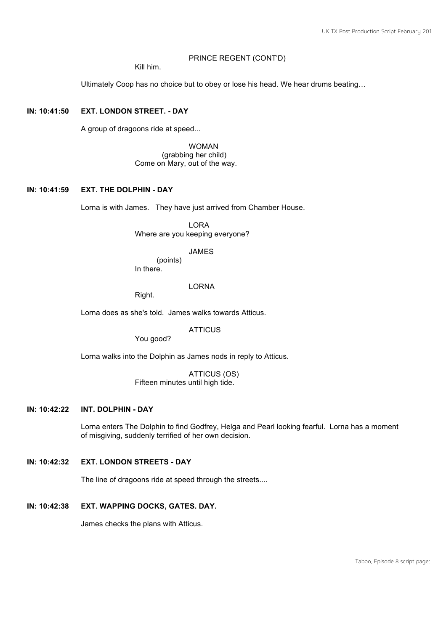#### PRINCE REGENT (CONT'D)

Kill him.

Ultimately Coop has no choice but to obey or lose his head. We hear drums beating…

# **IN: 10:41:50 EXT. LONDON STREET. - DAY**

A group of dragoons ride at speed...

WOMAN (grabbing her child) Come on Mary, out of the way.

# **IN: 10:41:59 EXT. THE DOLPHIN - DAY**

Lorna is with James. They have just arrived from Chamber House.

LORA Where are you keeping everyone?

JAMES

(points) In there.

LORNA

Right.

Lorna does as she's told. James walks towards Atticus.

**ATTICUS** 

You good?

Lorna walks into the Dolphin as James nods in reply to Atticus.

ATTICUS (OS) Fifteen minutes until high tide.

# **IN: 10:42:22 INT. DOLPHIN - DAY**

Lorna enters The Dolphin to find Godfrey, Helga and Pearl looking fearful. Lorna has a moment of misgiving, suddenly terrified of her own decision.

# **IN: 10:42:32 EXT. LONDON STREETS - DAY**

The line of dragoons ride at speed through the streets....

**IN: 10:42:38 EXT. WAPPING DOCKS, GATES. DAY.** 

James checks the plans with Atticus.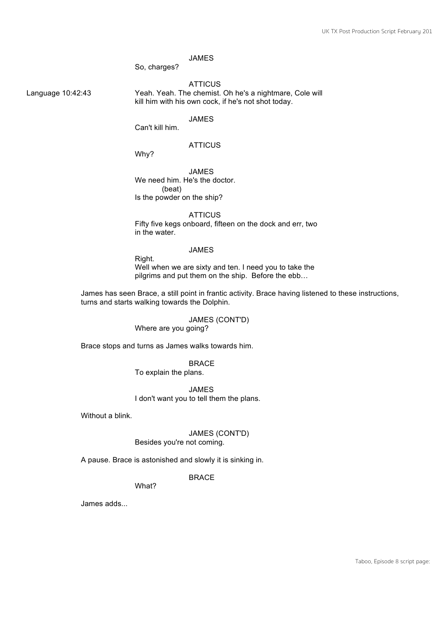# JAMES

So, charges?

#### **ATTICUS**

Language 10:42:43 Yeah. Yeah. The chemist. Oh he's a nightmare, Cole will kill him with his own cock, if he's not shot today.

JAMES

Can't kill him.

# **ATTICUS**

Why?

JAMES We need him. He's the doctor. (beat) Is the powder on the ship?

**ATTICUS** Fifty five kegs onboard, fifteen on the dock and err, two in the water.

# JAMES

Right. Well when we are sixty and ten. I need you to take the pilgrims and put them on the ship. Before the ebb…

James has seen Brace, a still point in frantic activity. Brace having listened to these instructions, turns and starts walking towards the Dolphin.

> JAMES (CONT'D) Where are you going?

Brace stops and turns as James walks towards him.

BRACE To explain the plans.

JAMES I don't want you to tell them the plans.

Without a blink.

# JAMES (CONT'D)

Besides you're not coming.

A pause. Brace is astonished and slowly it is sinking in.

#### BRACE

What?

James adds...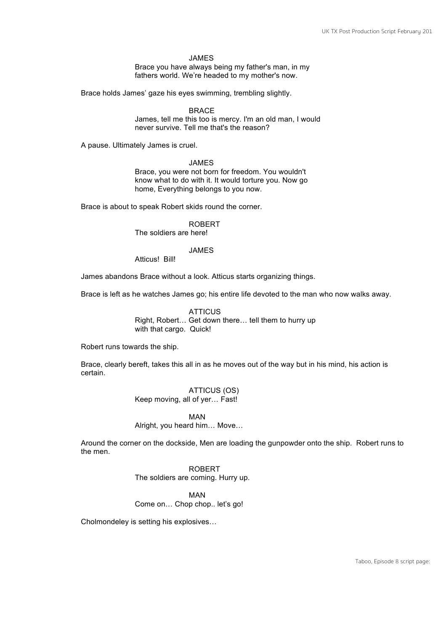#### JAMES

Brace you have always being my father's man, in my fathers world. We're headed to my mother's now.

Brace holds James' gaze his eyes swimming, trembling slightly.

BRACE James, tell me this too is mercy. I'm an old man, I would never survive. Tell me that's the reason?

A pause. Ultimately James is cruel.

#### JAMES

Brace, you were not born for freedom. You wouldn't know what to do with it. It would torture you. Now go home, Everything belongs to you now.

Brace is about to speak Robert skids round the corner.

ROBERT The soldiers are here!

JAMES

Atticus! Bill!

James abandons Brace without a look. Atticus starts organizing things.

Brace is left as he watches James go; his entire life devoted to the man who now walks away.

**ATTICUS** Right, Robert… Get down there… tell them to hurry up with that cargo. Quick!

Robert runs towards the ship.

Brace, clearly bereft, takes this all in as he moves out of the way but in his mind, his action is certain.

> ATTICUS (OS) Keep moving, all of yer… Fast!

MAN Alright, you heard him… Move…

Around the corner on the dockside, Men are loading the gunpowder onto the ship. Robert runs to the men.

> ROBERT The soldiers are coming. Hurry up.

MAN Come on… Chop chop.. let's go!

Cholmondeley is setting his explosives…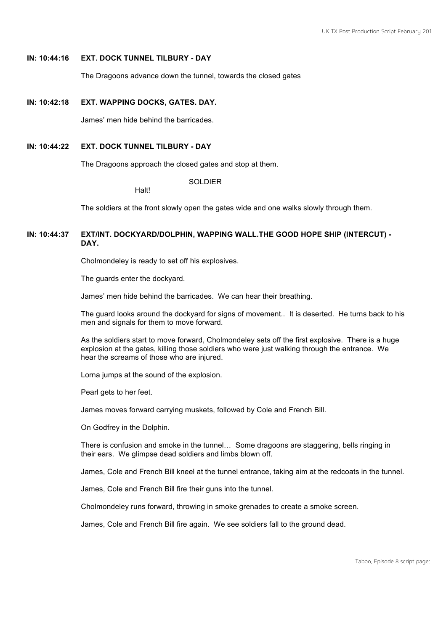#### **IN: 10:44:16 EXT. DOCK TUNNEL TILBURY - DAY**

The Dragoons advance down the tunnel, towards the closed gates

#### **IN: 10:42:18 EXT. WAPPING DOCKS, GATES. DAY.**

James' men hide behind the barricades.

**Halt!** 

# **IN: 10:44:22 EXT. DOCK TUNNEL TILBURY - DAY**

The Dragoons approach the closed gates and stop at them.

SOLDIER

The soldiers at the front slowly open the gates wide and one walks slowly through them.

## **IN: 10:44:37 EXT/INT. DOCKYARD/DOLPHIN, WAPPING WALL.THE GOOD HOPE SHIP (INTERCUT) - DAY.**

Cholmondeley is ready to set off his explosives.

The guards enter the dockyard.

James' men hide behind the barricades. We can hear their breathing.

The guard looks around the dockyard for signs of movement.. It is deserted. He turns back to his men and signals for them to move forward.

As the soldiers start to move forward, Cholmondeley sets off the first explosive. There is a huge explosion at the gates, killing those soldiers who were just walking through the entrance. We hear the screams of those who are injured.

Lorna jumps at the sound of the explosion.

Pearl gets to her feet.

James moves forward carrying muskets, followed by Cole and French Bill.

On Godfrey in the Dolphin.

There is confusion and smoke in the tunnel… Some dragoons are staggering, bells ringing in their ears. We glimpse dead soldiers and limbs blown off.

James, Cole and French Bill kneel at the tunnel entrance, taking aim at the redcoats in the tunnel.

James, Cole and French Bill fire their guns into the tunnel.

Cholmondeley runs forward, throwing in smoke grenades to create a smoke screen.

James, Cole and French Bill fire again. We see soldiers fall to the ground dead.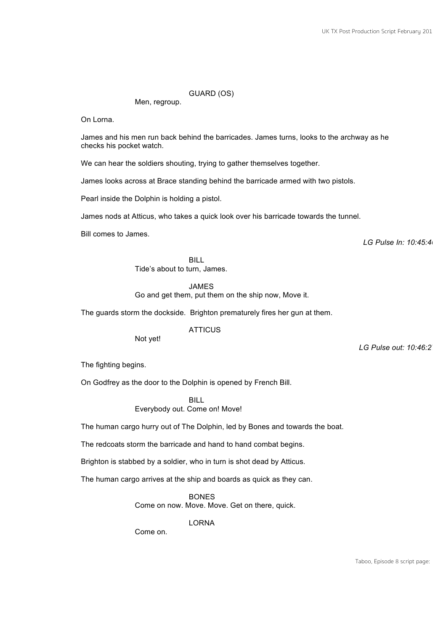# GUARD (OS)

Men, regroup.

On Lorna.

James and his men run back behind the barricades. James turns, looks to the archway as he checks his pocket watch.

We can hear the soldiers shouting, trying to gather themselves together.

James looks across at Brace standing behind the barricade armed with two pistols.

Pearl inside the Dolphin is holding a pistol.

James nods at Atticus, who takes a quick look over his barricade towards the tunnel.

Bill comes to James.

*LG Pulse In: 10:45:46* 

BILL

Tide's about to turn, James.

JAMES

Go and get them, put them on the ship now, Move it.

The guards storm the dockside. Brighton prematurely fires her gun at them.

ATTICUS

Not yet!

*LG Pulse out: 10:46:27* 

The fighting begins.

On Godfrey as the door to the Dolphin is opened by French Bill.

BILL Everybody out. Come on! Move!

The human cargo hurry out of The Dolphin, led by Bones and towards the boat.

The redcoats storm the barricade and hand to hand combat begins.

Brighton is stabbed by a soldier, who in turn is shot dead by Atticus.

The human cargo arrives at the ship and boards as quick as they can.

BONES Come on now. Move. Move. Get on there, quick.

LORNA

Come on.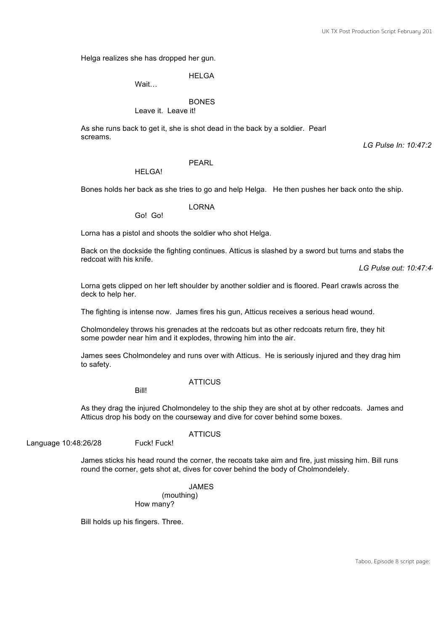Helga realizes she has dropped her gun.

**HELGA** 

Wait…

**BONES** 

Leave it. Leave it!

As she runs back to get it, she is shot dead in the back by a soldier. Pearl screams.

*LG Pulse In: 10:47:21*

# PEARL

HELGA!

Bones holds her back as she tries to go and help Helga. He then pushes her back onto the ship.

LORNA

Go! Go!

Lorna has a pistol and shoots the soldier who shot Helga.

Back on the dockside the fighting continues. Atticus is slashed by a sword but turns and stabs the redcoat with his knife.

*LG Pulse out: 10:47:44*

Lorna gets clipped on her left shoulder by another soldier and is floored. Pearl crawls across the deck to help her.

The fighting is intense now. James fires his gun, Atticus receives a serious head wound.

Cholmondeley throws his grenades at the redcoats but as other redcoats return fire, they hit some powder near him and it explodes, throwing him into the air.

James sees Cholmondeley and runs over with Atticus. He is seriously injured and they drag him to safety.

**ATTICUS** 

Bill!

As they drag the injured Cholmondeley to the ship they are shot at by other redcoats. James and Atticus drop his body on the courseway and dive for cover behind some boxes.

Language 10:48:26/28 Fuck! Fuck!

**ATTICUS** 

James sticks his head round the corner, the recoats take aim and fire, just missing him. Bill runs round the corner, gets shot at, dives for cover behind the body of Cholmondelely.

> JAMES (mouthing) How many?

Bill holds up his fingers. Three.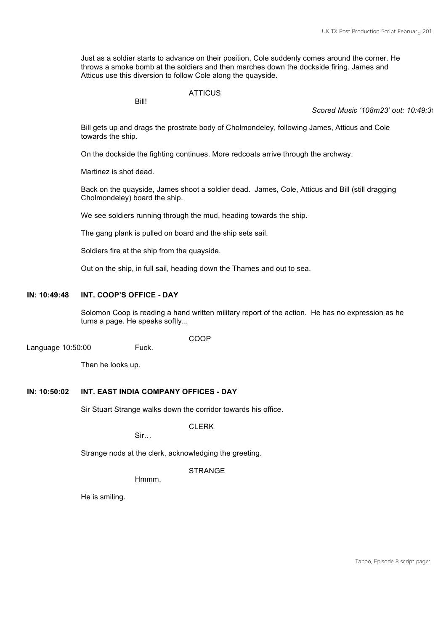Just as a soldier starts to advance on their position, Cole suddenly comes around the corner. He throws a smoke bomb at the soldiers and then marches down the dockside firing. James and Atticus use this diversion to follow Cole along the quayside.

**ATTICUS** 

Bill!

Scored Music '108m23' out: 10:49:3

Bill gets up and drags the prostrate body of Cholmondeley, following James, Atticus and Cole towards the ship.

On the dockside the fighting continues. More redcoats arrive through the archway.

Martinez is shot dead.

Back on the quayside, James shoot a soldier dead. James, Cole, Atticus and Bill (still dragging Cholmondeley) board the ship.

We see soldiers running through the mud, heading towards the ship.

The gang plank is pulled on board and the ship sets sail.

Soldiers fire at the ship from the quayside.

Out on the ship, in full sail, heading down the Thames and out to sea.

#### **IN: 10:49:48 INT. COOP'S OFFICE - DAY**

Solomon Coop is reading a hand written military report of the action. He has no expression as he turns a page. He speaks softly...

**COOP** 

Language 10:50:00 Fuck.

Then he looks up.

#### **IN: 10:50:02 INT. EAST INDIA COMPANY OFFICES - DAY**

Sir Stuart Strange walks down the corridor towards his office.

CLERK

Sir…

Strange nods at the clerk, acknowledging the greeting.

#### **STRANGE**

Hmmm.

He is smiling.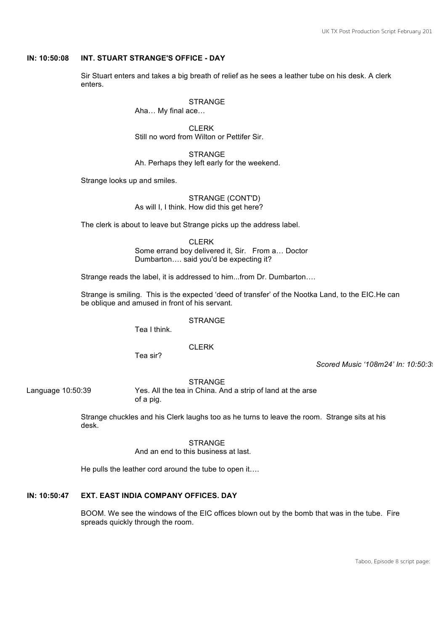# **IN: 10:50:08 INT. STUART STRANGE'S OFFICE - DAY**

Sir Stuart enters and takes a big breath of relief as he sees a leather tube on his desk. A clerk enters.

**STRANGE** 

Aha… My final ace…

CLERK Still no word from Wilton or Pettifer Sir.

**STRANGE** Ah. Perhaps they left early for the weekend.

Strange looks up and smiles.

STRANGE (CONT'D) As will I, I think. How did this get here?

The clerk is about to leave but Strange picks up the address label.

CLERK Some errand boy delivered it, Sir. From a… Doctor Dumbarton…. said you'd be expecting it?

Strange reads the label, it is addressed to him...from Dr. Dumbarton….

Strange is smiling. This is the expected 'deed of transfer' of the Nootka Land, to the EIC.He can be oblique and amused in front of his servant.

STRANGE

Tea I think.

CLERK

Tea sir?

*Scored Music '108m24' In: 10:50:39* 

**STRANGE** 

Language 10:50:39 Yes. All the tea in China. And a strip of land at the arse of a pig.

> Strange chuckles and his Clerk laughs too as he turns to leave the room. Strange sits at his desk.

> > **STRANGE**

And an end to this business at last.

He pulls the leather cord around the tube to open it….

# **IN: 10:50:47 EXT. EAST INDIA COMPANY OFFICES. DAY**

BOOM. We see the windows of the EIC offices blown out by the bomb that was in the tube. Fire spreads quickly through the room.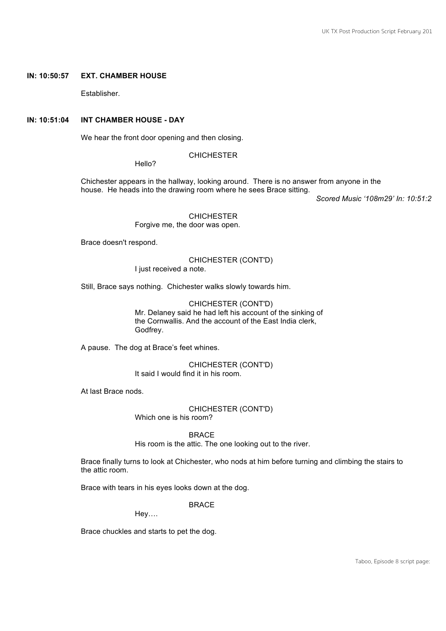#### **IN: 10:50:57 EXT. CHAMBER HOUSE**

Establisher.

# **IN: 10:51:04 INT CHAMBER HOUSE - DAY**

We hear the front door opening and then closing.

**CHICHESTER** 

Hello?

Chichester appears in the hallway, looking around. There is no answer from anyone in the house. He heads into the drawing room where he sees Brace sitting.

*Scored Music '108m29' In: 10:51:2* 

CHICHESTER Forgive me, the door was open.

Brace doesn't respond.

CHICHESTER (CONT'D) I just received a note.

Still, Brace says nothing. Chichester walks slowly towards him.

CHICHESTER (CONT'D) Mr. Delaney said he had left his account of the sinking of the Cornwallis. And the account of the East India clerk, Godfrey.

A pause. The dog at Brace's feet whines.

CHICHESTER (CONT'D) It said I would find it in his room.

At last Brace nods.

CHICHESTER (CONT'D) Which one is his room?

BRACE His room is the attic. The one looking out to the river.

Brace finally turns to look at Chichester, who nods at him before turning and climbing the stairs to the attic room.

Brace with tears in his eyes looks down at the dog.

BRACE

Hey….

Brace chuckles and starts to pet the dog.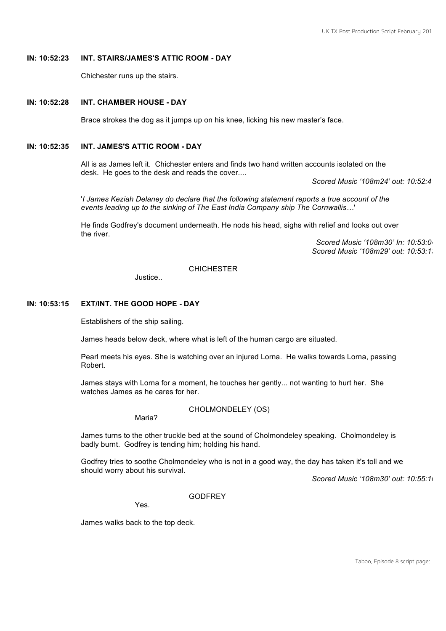# **IN: 10:52:23 INT. STAIRS/JAMES'S ATTIC ROOM - DAY**

Chichester runs up the stairs.

#### **IN: 10:52:28 INT. CHAMBER HOUSE - DAY**

Brace strokes the dog as it jumps up on his knee, licking his new master's face.

# **IN: 10:52:35 INT. JAMES'S ATTIC ROOM - DAY**

All is as James left it. Chichester enters and finds two hand written accounts isolated on the desk. He goes to the desk and reads the cover....

*Scored Music '108m24' out: 10:52:41*

'*I James Keziah Delaney do declare that the following statement reports a true account of the events leading up to the sinking of The East India Company ship The Cornwallis…*'

He finds Godfrey's document underneath. He nods his head, sighs with relief and looks out over the river.

*Scored Music '108m30' In: 10:53:04 Scored Music '108m29' out: 10:53:13*

# **CHICHESTER**

Justice..

# **IN: 10:53:15 EXT/INT. THE GOOD HOPE - DAY**

Establishers of the ship sailing.

James heads below deck, where what is left of the human cargo are situated.

Pearl meets his eyes. She is watching over an injured Lorna. He walks towards Lorna, passing Robert.

James stays with Lorna for a moment, he touches her gently... not wanting to hurt her. She watches James as he cares for her.

#### CHOLMONDELEY (OS)

Maria?

James turns to the other truckle bed at the sound of Cholmondeley speaking. Cholmondeley is badly burnt. Godfrey is tending him; holding his hand.

Godfrey tries to soothe Cholmondeley who is not in a good way, the day has taken it's toll and we should worry about his survival.

*Scored Music '108m30' out: 10:55:10*

**GODFREY** 

Yes.

James walks back to the top deck.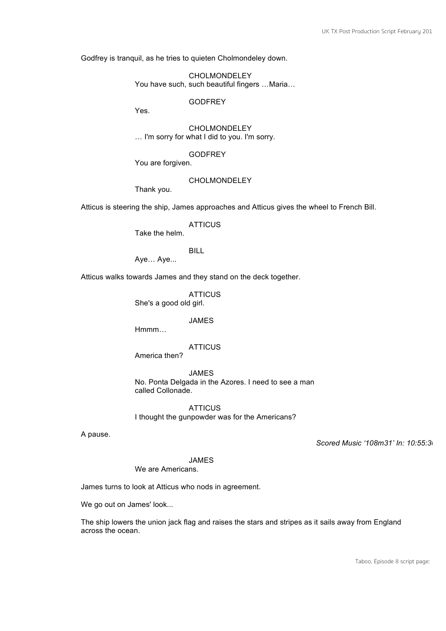Godfrey is tranquil, as he tries to quieten Cholmondeley down.

CHOLMONDELEY You have such, such beautiful fingers …Maria…

GODFREY

Yes.

CHOLMONDELEY … I'm sorry for what I did to you. I'm sorry.

GODFREY

You are forgiven.

#### CHOLMONDELEY

Thank you.

Atticus is steering the ship, James approaches and Atticus gives the wheel to French Bill.

**ATTICUS** 

Take the helm.

BILL

Aye… Aye...

Atticus walks towards James and they stand on the deck together.

**ATTICUS** She's a good old girl.

#### JAMES

Hmmm…

#### **ATTICUS**

America then?

JAMES No. Ponta Delgada in the Azores. I need to see a man called Collonade.

**ATTICUS** I thought the gunpowder was for the Americans?

A pause.

*Scored Music '108m31' In: 10:55:30*

JAMES

We are Americans.

James turns to look at Atticus who nods in agreement.

We go out on James' look...

The ship lowers the union jack flag and raises the stars and stripes as it sails away from England across the ocean.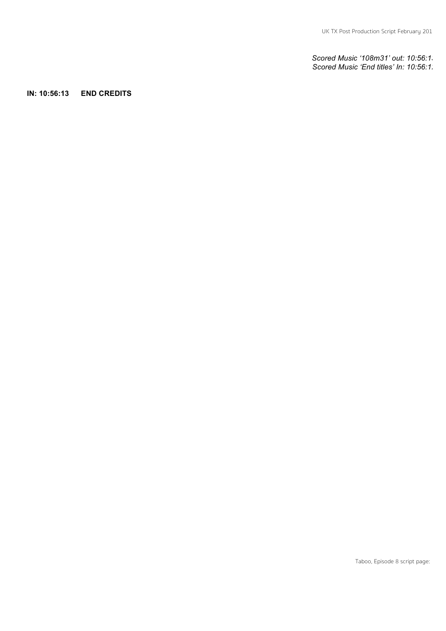*Scored Music '108m31' out: 10:56:13 Scored Music 'End titles' In: 10:56:12*

**IN: 10:56:13 END CREDITS**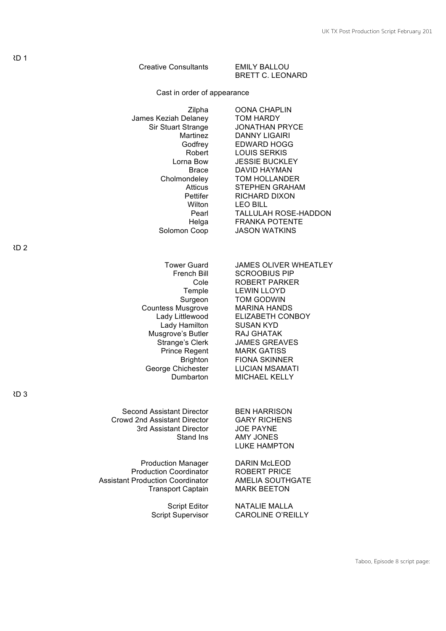| <b>Creative Consultants</b>                                                                                                                                                                                                                         | <b>EMILY BALLOU</b><br><b>BRETT C. LEONARD</b>                                                                                                                                                                                                                                                                                        |  |  |  |
|-----------------------------------------------------------------------------------------------------------------------------------------------------------------------------------------------------------------------------------------------------|---------------------------------------------------------------------------------------------------------------------------------------------------------------------------------------------------------------------------------------------------------------------------------------------------------------------------------------|--|--|--|
| Cast in order of appearance                                                                                                                                                                                                                         |                                                                                                                                                                                                                                                                                                                                       |  |  |  |
| Zilpha<br>James Keziah Delaney<br>Sir Stuart Strange<br>Martinez<br>Godfrey<br>Robert<br>Lorna Bow<br><b>Brace</b><br>Cholmondeley<br>Atticus<br>Pettifer<br>Wilton<br>Pearl<br>Helga<br>Solomon Coop                                               | <b>OONA CHAPLIN</b><br>TOM HARDY<br><b>JONATHAN PRYCE</b><br><b>DANNY LIGAIRI</b><br><b>EDWARD HOGG</b><br><b>LOUIS SERKIS</b><br><b>JESSIE BUCKLEY</b><br>DAVID HAYMAN<br>TOM HOLLANDER<br><b>STEPHEN GRAHAM</b><br>RICHARD DIXON<br><b>LEO BILL</b><br><b>TALLULAH ROSE-HADDON</b><br><b>FRANKA POTENTE</b><br><b>JASON WATKINS</b> |  |  |  |
| 2                                                                                                                                                                                                                                                   |                                                                                                                                                                                                                                                                                                                                       |  |  |  |
| <b>Tower Guard</b><br>French Bill<br>Cole<br>Temple<br>Surgeon<br><b>Countess Musgrove</b><br>Lady Littlewood<br>Lady Hamilton<br>Musgrove's Butler<br>Strange's Clerk<br><b>Prince Regent</b><br><b>Brighton</b><br>George Chichester<br>Dumbarton | <b>JAMES OLIVER WHEATLEY</b><br><b>SCROOBIUS PIP</b><br><b>ROBERT PARKER</b><br><b>LEWIN LLOYD</b><br><b>TOM GODWIN</b><br><b>MARINA HANDS</b><br>ELIZABETH CONBOY<br><b>SUSAN KYD</b><br>RAJ GHATAK<br><b>JAMES GREAVES</b><br><b>MARK GATISS</b><br><b>FIONA SKINNER</b><br><b>LUCIAN MSAMATI</b><br><b>MICHAEL KELLY</b>           |  |  |  |
| 3                                                                                                                                                                                                                                                   |                                                                                                                                                                                                                                                                                                                                       |  |  |  |
| Second Assistant Director<br><b>Crowd 2nd Assistant Director</b><br>3rd Assistant Director<br>Stand Ins                                                                                                                                             | <b>BEN HARRISON</b><br><b>GARY RICHENS</b><br><b>JOE PAYNE</b><br><b>AMY JONES</b><br><b>LUKE HAMPTON</b>                                                                                                                                                                                                                             |  |  |  |
| <b>Production Manager</b><br><b>Production Coordinator</b><br><b>Assistant Production Coordinator</b><br><b>Transport Captain</b>                                                                                                                   | <b>DARIN McLEOD</b><br><b>ROBERT PRICE</b><br><b>AMELIA SOUTHGATE</b><br><b>MARK BEETON</b>                                                                                                                                                                                                                                           |  |  |  |
| <b>Script Editor</b><br><b>Script Supervisor</b>                                                                                                                                                                                                    | <b>NATALIE MALLA</b><br><b>CAROLINE O'REILLY</b>                                                                                                                                                                                                                                                                                      |  |  |  |

Taboo, Episode 8 script page:

 $2D<sub>1</sub>$ 

CARD 2

CARD 3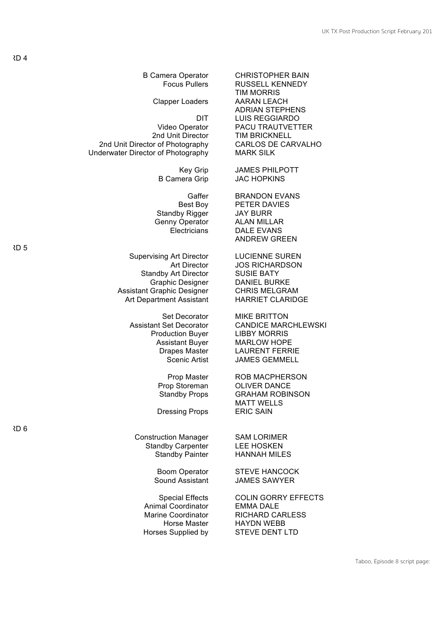B Camera Operator CHRISTOPHER BAIN

2nd Unit Director of Photography CARLOS DE CARVALHO<br>derwater Director of Photography MARK SILK Underwater Director of Photography

Standby Rigger JAY BURR Genny Operator ALAN MILLAR

Supervising Art Director LUCIENNE SUREN Standby Art Director SUSIE BATY<br>Graphic Designer DANIEL BURKE Assistant Graphic Designer Art Department Assistant HARRIET CLARIDGE

Production Buyer LIBBY MORRIS

Prop Storeman

Dressing Props

Construction Manager SAM LORIMER Standby Carpenter LEE HOSKEN

Animal Coordinator EMMA DALE Horses Supplied by STEVE DENT LTD

Focus Pullers RUSSELL KENNEDY TIM MORRIS Clapper Loaders AARAN LEACH ADRIAN STEPHENS DIT LUIS REGGIARDO<br>Video Operator PACU TRAUTVETT Video Operator PACU TRAUTVETTER<br>
2nd Unit Director TIM BRICKNELL **TIM BRICKNELL** 

Key Grip JAMES PHILPOTT B Camera Grip JAC HOPKINS

Gaffer BRANDON EVANS Best Boy PETER DAVIES Electricians DALE EVANS ANDREW GREEN

Art Director JOS RICHARDSON Graphic Designer DANIEL BURKE<br>Graphic Designer CHRIS MELGRAM

Set Decorator MIKE BRITTON Assistant Set Decorator CANDICE MARCHLEWSKI Assistant Buyer MARLOW HOPE Drapes Master LAURENT FERRIE Scenic Artist **JAMES GEMMELL** 

> Prop Master ROB MACPHERSON<br>op Storeman OLIVER DANCE Standby Props **GRAHAM ROBINSON MATT WELLS<br>ERIC SAIN**

Standby Painter HANNAH MILES

Boom Operator STEVE HANCOCK Sound Assistant JAMES SAWYER

Special Effects COLIN GORRY EFFECTS Marine Coordinator RICHARD CARLESS Horse Master HAYDN WEBB

 $2D<sub>4</sub>$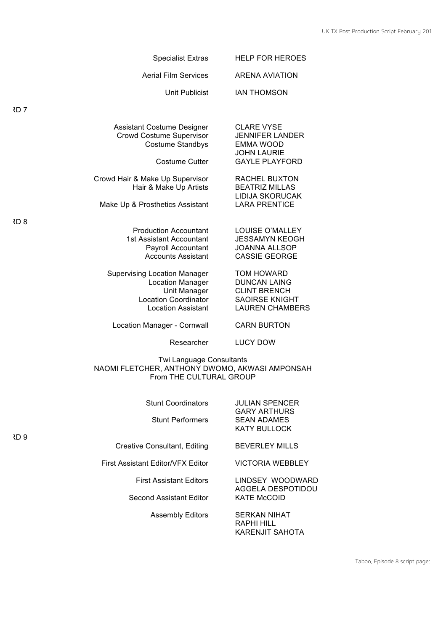| <b>Specialist Extras</b>                                                                                                            | <b>HELP FOR HEROES</b>                                                                                             |
|-------------------------------------------------------------------------------------------------------------------------------------|--------------------------------------------------------------------------------------------------------------------|
| <b>Aerial Film Services</b>                                                                                                         | <b>ARENA AVIATION</b>                                                                                              |
| Unit Publicist                                                                                                                      | <b>IAN THOMSON</b>                                                                                                 |
| रD 7                                                                                                                                |                                                                                                                    |
| <b>Assistant Costume Designer</b><br>Crowd Costume Supervisor<br><b>Costume Standbys</b><br><b>Costume Cutter</b>                   | <b>CLARE VYSE</b><br><b>JENNIFER LANDER</b><br><b>EMMA WOOD</b><br><b>JOHN LAURIE</b><br><b>GAYLE PLAYFORD</b>     |
| Crowd Hair & Make Up Supervisor<br>Hair & Make Up Artists<br>Make Up & Prosthetics Assistant                                        | <b>RACHEL BUXTON</b><br><b>BEATRIZ MILLAS</b><br><b>LIDIJA SKORUCAK</b><br><b>LARA PRENTICE</b>                    |
| रD 8                                                                                                                                |                                                                                                                    |
| <b>Production Accountant</b><br>1st Assistant Accountant<br><b>Payroll Accountant</b><br><b>Accounts Assistant</b>                  | LOUISE O'MALLEY<br><b>JESSAMYN KEOGH</b><br><b>JOANNA ALLSOP</b><br><b>CASSIE GEORGE</b>                           |
| <b>Supervising Location Manager</b><br>Location Manager<br>Unit Manager<br><b>Location Coordinator</b><br><b>Location Assistant</b> | <b>TOM HOWARD</b><br><b>DUNCAN LAING</b><br><b>CLINT BRENCH</b><br><b>SAOIRSE KNIGHT</b><br><b>LAUREN CHAMBERS</b> |
| Location Manager - Cornwall                                                                                                         | <b>CARN BURTON</b>                                                                                                 |
| Researcher                                                                                                                          | <b>LUCY DOW</b>                                                                                                    |
| Twi Language Consultants<br>NAOMI FLETCHER, ANTHONY DWOMO, AKWASI AMPONSAH<br>From THE CULTURAL GROUP                               |                                                                                                                    |
| <b>Stunt Coordinators</b>                                                                                                           | <b>JULIAN SPENCER</b>                                                                                              |
| <b>Stunt Performers</b><br>RD 9                                                                                                     | <b>GARY ARTHURS</b><br><b>SEAN ADAMES</b><br><b>KATY BULLOCK</b>                                                   |
| <b>Creative Consultant, Editing</b>                                                                                                 | <b>BEVERLEY MILLS</b>                                                                                              |
| <b>First Assistant Editor/VFX Editor</b>                                                                                            | <b>VICTORIA WEBBLEY</b>                                                                                            |
| <b>First Assistant Editors</b>                                                                                                      | LINDSEY WOODWARD<br>AGGELA DESPOTIDOU                                                                              |
| Second Assistant Editor                                                                                                             | <b>KATE McCOID</b>                                                                                                 |
| <b>Assembly Editors</b>                                                                                                             | <b>SERKAN NIHAT</b><br><b>RAPHI HILL</b>                                                                           |

Taboo, Episode 8 script page:

KARENJIT SAHOTA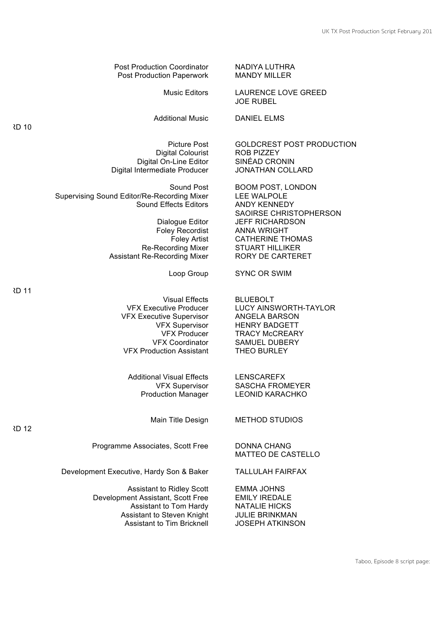Post Production Coordinator Post Production Paperwork

Digital On-Line Editor Digital Intermediate Producer JONATHAN COLLARD

Sound Post Supervising Sound Editor/Re-Recording Mixer Sound Effects Editors

> Re-Recording Mixer STUART HILLIKER Assistant Re-Recording Mixer

> > Loop Group

VFX Executive Producer VFX Executive Supervisor VFX Supervisor VFX Producer VFX Coordinator VFX Production Assistant

Additional Visual Effects VFX Supervisor Production Manager

Programme Associates, Scott Free DONNA CHANG

Development Executive, Hardy Son & Baker TALLULAH FAIRFAX

Assistant to Ridley Scott EMMA JOHNS Development Assistant, Scott Free EMILY IREDALE Assistant to Tom Hardy NATALIE HICKS Assistant to Steven Knight <br>Assistant to Tim Bricknell (JOSEPH ATKINSON Assistant to Tim Bricknell

NADIYA LUTHRA MANDY MILLER

Music Editors LAURENCE LOVE GREED JOE RUBEL

Additional Music DANIEL ELMS

Picture Post **GOLDCREST POST PRODUCTION** Digital Colourist ROB PIZZEY<br>Il On-Line Editor SINÉAD CRONIN

BOOM POST, LONDON LEE WALPOLE<br>ANDY KENNEDY SAOIRSE CHRISTOPHERSON Dialogue Editor JEFF RICHARDSON Foley Recordist ANNA WRIGHT<br>Foley Artist CATHERINE TH **CATHERINE THOMAS** RORY DE CARTERET

SYNC OR SWIM

Visual Effects BLUEBOLT LUCY AINSWORTH-TAYLOR ANGELA BARSON HENRY BADGETT TRACY McCREARY SAMUEL DUBERY THEO BURLEY

> LENSCAREFX SASCHA FROMEYER LEONID KARACHKO

Main Title Design METHOD STUDIOS

MATTEO DE CASTELLO

CARD 10

CARD 12

CARD 11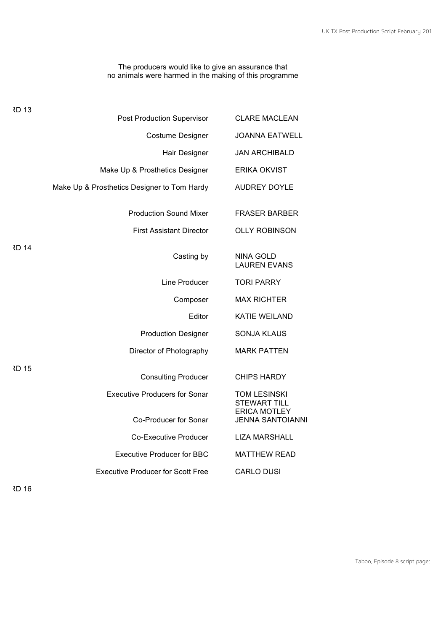#### The producers would like to give an assurance that no animals were harmed in the making of this programme

| <b>CLARE MACLEAN</b>                           | Post Production Supervisor                  | RD 13 |
|------------------------------------------------|---------------------------------------------|-------|
| <b>JOANNA EATWELL</b>                          | <b>Costume Designer</b>                     |       |
| <b>JAN ARCHIBALD</b>                           | Hair Designer                               |       |
| <b>ERIKA OKVIST</b>                            | Make Up & Prosthetics Designer              |       |
| <b>AUDREY DOYLE</b>                            | Make Up & Prosthetics Designer to Tom Hardy |       |
| <b>FRASER BARBER</b>                           | <b>Production Sound Mixer</b>               |       |
| <b>OLLY ROBINSON</b>                           | <b>First Assistant Director</b>             |       |
| <b>NINA GOLD</b><br><b>LAUREN EVANS</b>        | Casting by                                  | RD 14 |
| <b>TORI PARRY</b>                              | Line Producer                               |       |
| <b>MAX RICHTER</b>                             | Composer                                    |       |
| <b>KATIE WEILAND</b>                           | Editor                                      |       |
| <b>SONJA KLAUS</b>                             | <b>Production Designer</b>                  |       |
| <b>MARK PATTEN</b>                             | Director of Photography                     |       |
| <b>CHIPS HARDY</b>                             | <b>Consulting Producer</b>                  | RD 15 |
| TOM LESINSKI<br><b>STEWART TILL</b>            | <b>Executive Producers for Sonar</b>        |       |
| <b>ERICA MOTLEY</b><br><b>JENNA SANTOIANNI</b> | Co-Producer for Sonar                       |       |
| <b>LIZA MARSHALL</b>                           | <b>Co-Executive Producer</b>                |       |
| <b>MATTHEW READ</b>                            | <b>Executive Producer for BBC</b>           |       |
| <b>CARLO DUSI</b>                              | <b>Executive Producer for Scott Free</b>    |       |
|                                                |                                             |       |

**RD 16**